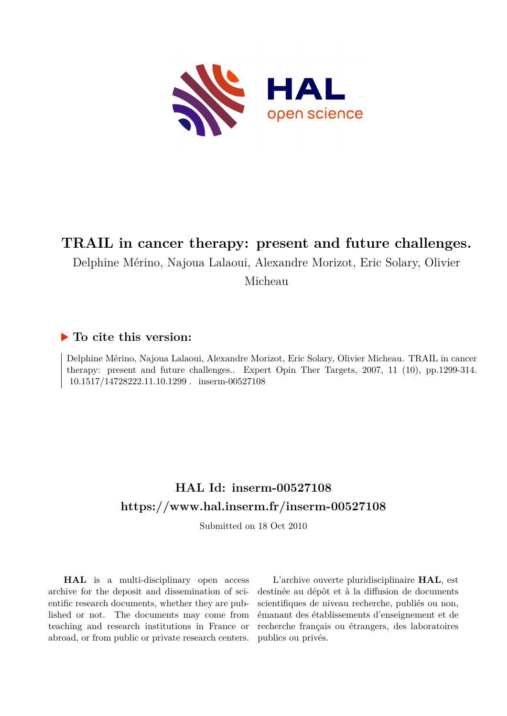

# **TRAIL in cancer therapy: present and future challenges.**

Delphine Mérino, Najoua Lalaoui, Alexandre Morizot, Eric Solary, Olivier

Micheau

# **To cite this version:**

Delphine Mérino, Najoua Lalaoui, Alexandre Morizot, Eric Solary, Olivier Micheau. TRAIL in cancer therapy: present and future challenges.. Expert Opin Ther Targets, 2007, 11 (10), pp.1299-314.  $10.1517/14728222.11.10.1299$  .  $% \mathcal{L}_{\mathrm{H}}$  inserm-00527108

# **HAL Id: inserm-00527108 <https://www.hal.inserm.fr/inserm-00527108>**

Submitted on 18 Oct 2010

**HAL** is a multi-disciplinary open access archive for the deposit and dissemination of scientific research documents, whether they are published or not. The documents may come from teaching and research institutions in France or abroad, or from public or private research centers.

L'archive ouverte pluridisciplinaire **HAL**, est destinée au dépôt et à la diffusion de documents scientifiques de niveau recherche, publiés ou non, émanant des établissements d'enseignement et de recherche français ou étrangers, des laboratoires publics ou privés.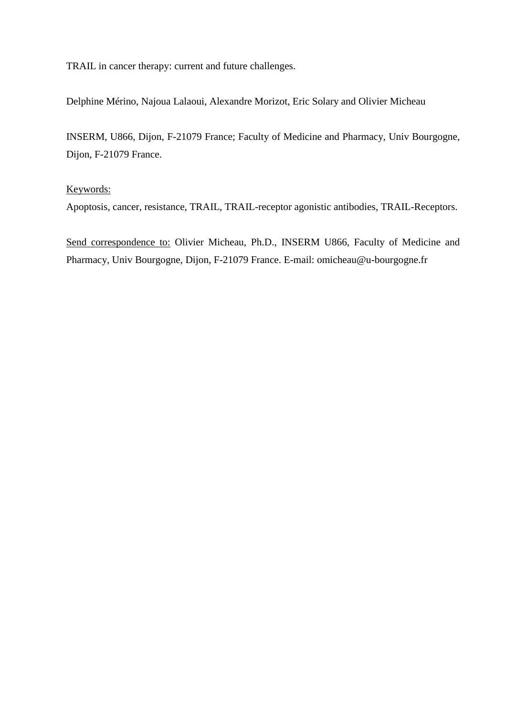TRAIL in cancer therapy: current and future challenges.

Delphine Mérino, Najoua Lalaoui, Alexandre Morizot, Eric Solary and Olivier Micheau

INSERM, U866, Dijon, F-21079 France; Faculty of Medicine and Pharmacy, Univ Bourgogne, Dijon, F-21079 France.

# Keywords:

Apoptosis, cancer, resistance, TRAIL, TRAIL-receptor agonistic antibodies, TRAIL-Receptors.

Send correspondence to: Olivier Micheau, Ph.D., INSERM U866, Faculty of Medicine and Pharmacy, Univ Bourgogne, Dijon, F-21079 France. E-mail: omicheau@u-bourgogne.fr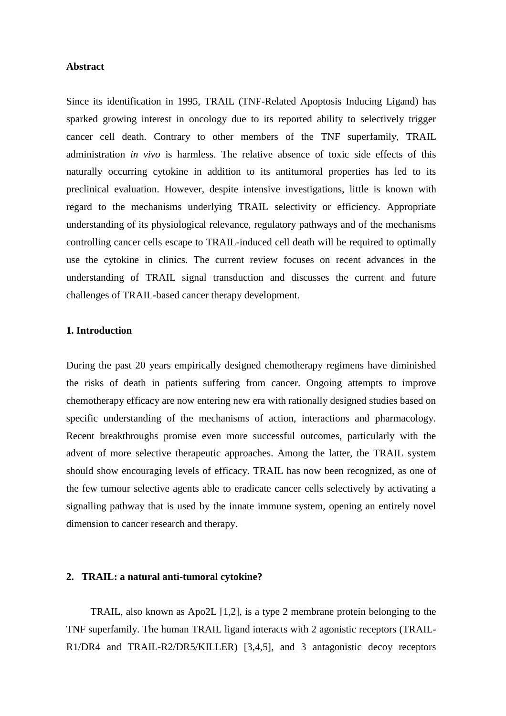# **Abstract**

Since its identification in 1995, TRAIL (TNF-Related Apoptosis Inducing Ligand) has sparked growing interest in oncology due to its reported ability to selectively trigger cancer cell death. Contrary to other members of the TNF superfamily, TRAIL administration *in vivo* is harmless. The relative absence of toxic side effects of this naturally occurring cytokine in addition to its antitumoral properties has led to its preclinical evaluation. However, despite intensive investigations, little is known with regard to the mechanisms underlying TRAIL selectivity or efficiency. Appropriate understanding of its physiological relevance, regulatory pathways and of the mechanisms controlling cancer cells escape to TRAIL-induced cell death will be required to optimally use the cytokine in clinics. The current review focuses on recent advances in the understanding of TRAIL signal transduction and discusses the current and future challenges of TRAIL-based cancer therapy development.

# **1. Introduction**

During the past 20 years empirically designed chemotherapy regimens have diminished the risks of death in patients suffering from cancer. Ongoing attempts to improve chemotherapy efficacy are now entering new era with rationally designed studies based on specific understanding of the mechanisms of action, interactions and pharmacology. Recent breakthroughs promise even more successful outcomes, particularly with the advent of more selective therapeutic approaches. Among the latter, the TRAIL system should show encouraging levels of efficacy. TRAIL has now been recognized, as one of the few tumour selective agents able to eradicate cancer cells selectively by activating a signalling pathway that is used by the innate immune system, opening an entirely novel dimension to cancer research and therapy.

## **2. TRAIL: a natural anti-tumoral cytokine?**

TRAIL, also known as Apo2L [1,2], is a type 2 membrane protein belonging to the TNF superfamily. The human TRAIL ligand interacts with 2 agonistic receptors (TRAIL-R1/DR4 and TRAIL-R2/DR5/KILLER) [3,4,5], and 3 antagonistic decoy receptors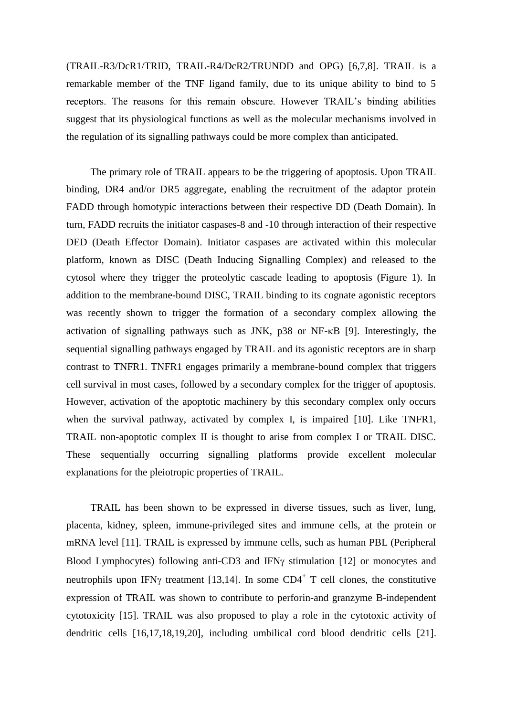(TRAIL-R3/DcR1/TRID, TRAIL-R4/DcR2/TRUNDD and OPG) [6,7,8]. TRAIL is a remarkable member of the TNF ligand family, due to its unique ability to bind to 5 receptors. The reasons for this remain obscure. However TRAIL's binding abilities suggest that its physiological functions as well as the molecular mechanisms involved in the regulation of its signalling pathways could be more complex than anticipated.

The primary role of TRAIL appears to be the triggering of apoptosis. Upon TRAIL binding, DR4 and/or DR5 aggregate, enabling the recruitment of the adaptor protein FADD through homotypic interactions between their respective DD (Death Domain). In turn, FADD recruits the initiator caspases-8 and -10 through interaction of their respective DED (Death Effector Domain). Initiator caspases are activated within this molecular platform, known as DISC (Death Inducing Signalling Complex) and released to the cytosol where they trigger the proteolytic cascade leading to apoptosis (Figure 1). In addition to the membrane-bound DISC, TRAIL binding to its cognate agonistic receptors was recently shown to trigger the formation of a secondary complex allowing the activation of signalling pathways such as JNK,  $p38$  or NF- $\kappa$ B [9]. Interestingly, the sequential signalling pathways engaged by TRAIL and its agonistic receptors are in sharp contrast to TNFR1. TNFR1 engages primarily a membrane-bound complex that triggers cell survival in most cases, followed by a secondary complex for the trigger of apoptosis. However, activation of the apoptotic machinery by this secondary complex only occurs when the survival pathway, activated by complex I, is impaired [10]. Like TNFR1, TRAIL non-apoptotic complex II is thought to arise from complex I or TRAIL DISC. These sequentially occurring signalling platforms provide excellent molecular explanations for the pleiotropic properties of TRAIL.

TRAIL has been shown to be expressed in diverse tissues, such as liver, lung, placenta, kidney, spleen, immune-privileged sites and immune cells, at the protein or mRNA level [11]. TRAIL is expressed by immune cells, such as human PBL (Peripheral Blood Lymphocytes) following anti-CD3 and IFN $\gamma$  stimulation [12] or monocytes and neutrophils upon IFN $\gamma$  treatment [13,14]. In some CD4<sup>+</sup> T cell clones, the constitutive expression of TRAIL was shown to contribute to perforin-and granzyme B-independent cytotoxicity [15]. TRAIL was also proposed to play a role in the cytotoxic activity of dendritic cells [16,17,18,19,20], including umbilical cord blood dendritic cells [21].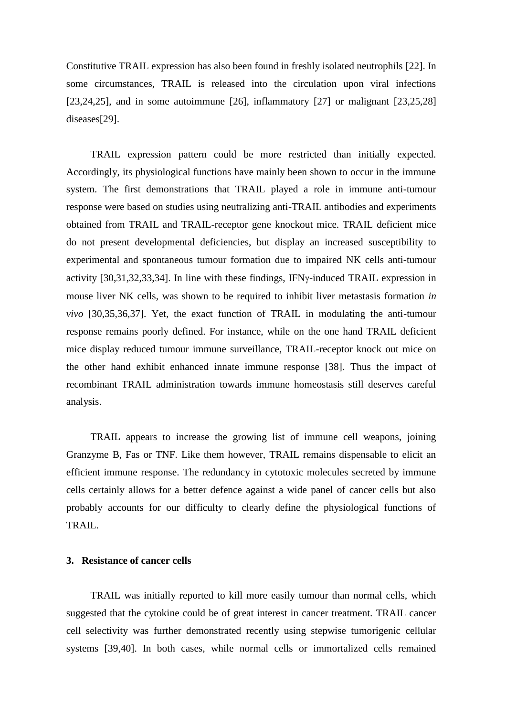Constitutive TRAIL expression has also been found in freshly isolated neutrophils [22]. In some circumstances, TRAIL is released into the circulation upon viral infections [23,24,25], and in some autoimmune [26], inflammatory [27] or malignant  $[23,25,28]$ diseases[29].

TRAIL expression pattern could be more restricted than initially expected. Accordingly, its physiological functions have mainly been shown to occur in the immune system. The first demonstrations that TRAIL played a role in immune anti-tumour response were based on studies using neutralizing anti-TRAIL antibodies and experiments obtained from TRAIL and TRAIL-receptor gene knockout mice. TRAIL deficient mice do not present developmental deficiencies, but display an increased susceptibility to experimental and spontaneous tumour formation due to impaired NK cells anti-tumour activity  $[30,31,32,33,34]$ . In line with these findings, IFN $\gamma$ -induced TRAIL expression in mouse liver NK cells, was shown to be required to inhibit liver metastasis formation *in vivo* [30,35,36,37]. Yet, the exact function of TRAIL in modulating the anti-tumour response remains poorly defined. For instance, while on the one hand TRAIL deficient mice display reduced tumour immune surveillance, TRAIL-receptor knock out mice on the other hand exhibit enhanced innate immune response [38]. Thus the impact of recombinant TRAIL administration towards immune homeostasis still deserves careful analysis.

TRAIL appears to increase the growing list of immune cell weapons, joining Granzyme B, Fas or TNF. Like them however, TRAIL remains dispensable to elicit an efficient immune response. The redundancy in cytotoxic molecules secreted by immune cells certainly allows for a better defence against a wide panel of cancer cells but also probably accounts for our difficulty to clearly define the physiological functions of TRAIL.

# **3. Resistance of cancer cells**

TRAIL was initially reported to kill more easily tumour than normal cells, which suggested that the cytokine could be of great interest in cancer treatment. TRAIL cancer cell selectivity was further demonstrated recently using stepwise tumorigenic cellular systems [39,40]. In both cases, while normal cells or immortalized cells remained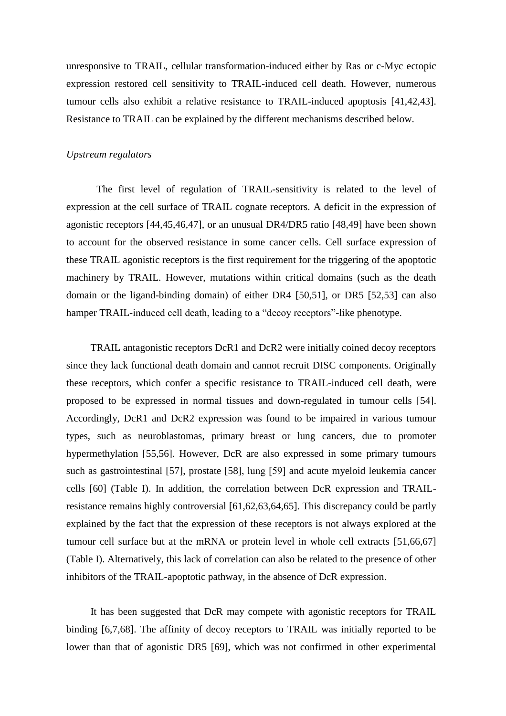unresponsive to TRAIL, cellular transformation-induced either by Ras or c-Myc ectopic expression restored cell sensitivity to TRAIL-induced cell death. However, numerous tumour cells also exhibit a relative resistance to TRAIL-induced apoptosis [41,42,43]. Resistance to TRAIL can be explained by the different mechanisms described below.

# *Upstream regulators*

The first level of regulation of TRAIL-sensitivity is related to the level of expression at the cell surface of TRAIL cognate receptors. A deficit in the expression of agonistic receptors [44,45,46,47], or an unusual DR4/DR5 ratio [48,49] have been shown to account for the observed resistance in some cancer cells. Cell surface expression of these TRAIL agonistic receptors is the first requirement for the triggering of the apoptotic machinery by TRAIL. However, mutations within critical domains (such as the death domain or the ligand-binding domain) of either DR4 [50,51], or DR5 [52,53] can also hamper TRAIL-induced cell death, leading to a "decoy receptors"-like phenotype.

TRAIL antagonistic receptors DcR1 and DcR2 were initially coined decoy receptors since they lack functional death domain and cannot recruit DISC components. Originally these receptors, which confer a specific resistance to TRAIL-induced cell death, were proposed to be expressed in normal tissues and down-regulated in tumour cells [54]. Accordingly, DcR1 and DcR2 expression was found to be impaired in various tumour types, such as neuroblastomas, primary breast or lung cancers, due to promoter hypermethylation [55,56]. However, DcR are also expressed in some primary tumours such as gastrointestinal [57], prostate [58], lung [59] and acute myeloid leukemia cancer cells [60] (Table I). In addition, the correlation between DcR expression and TRAILresistance remains highly controversial [61,62,63,64,65]. This discrepancy could be partly explained by the fact that the expression of these receptors is not always explored at the tumour cell surface but at the mRNA or protein level in whole cell extracts [51,66,67] (Table I). Alternatively, this lack of correlation can also be related to the presence of other inhibitors of the TRAIL-apoptotic pathway, in the absence of DcR expression.

It has been suggested that DcR may compete with agonistic receptors for TRAIL binding [6,7,68]. The affinity of decoy receptors to TRAIL was initially reported to be lower than that of agonistic DR5 [69], which was not confirmed in other experimental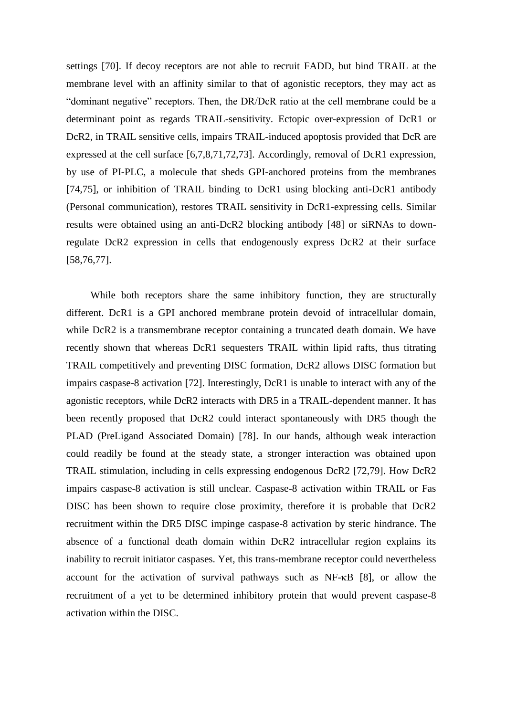settings [70]. If decoy receptors are not able to recruit FADD, but bind TRAIL at the membrane level with an affinity similar to that of agonistic receptors, they may act as "dominant negative" receptors. Then, the DR/DcR ratio at the cell membrane could be a determinant point as regards TRAIL-sensitivity. Ectopic over-expression of DcR1 or DcR2, in TRAIL sensitive cells, impairs TRAIL-induced apoptosis provided that DcR are expressed at the cell surface [6,7,8,71,72,73]. Accordingly, removal of DcR1 expression, by use of PI-PLC, a molecule that sheds GPI-anchored proteins from the membranes [74,75], or inhibition of TRAIL binding to DcR1 using blocking anti-DcR1 antibody (Personal communication), restores TRAIL sensitivity in DcR1-expressing cells. Similar results were obtained using an anti-DcR2 blocking antibody [48] or siRNAs to downregulate DcR2 expression in cells that endogenously express DcR2 at their surface [58,76,77].

While both receptors share the same inhibitory function, they are structurally different. DcR1 is a GPI anchored membrane protein devoid of intracellular domain, while DcR2 is a transmembrane receptor containing a truncated death domain. We have recently shown that whereas DcR1 sequesters TRAIL within lipid rafts, thus titrating TRAIL competitively and preventing DISC formation, DcR2 allows DISC formation but impairs caspase-8 activation [72]. Interestingly, DcR1 is unable to interact with any of the agonistic receptors, while DcR2 interacts with DR5 in a TRAIL-dependent manner. It has been recently proposed that DcR2 could interact spontaneously with DR5 though the PLAD (PreLigand Associated Domain) [78]. In our hands, although weak interaction could readily be found at the steady state, a stronger interaction was obtained upon TRAIL stimulation, including in cells expressing endogenous DcR2 [72,79]. How DcR2 impairs caspase-8 activation is still unclear. Caspase-8 activation within TRAIL or Fas DISC has been shown to require close proximity, therefore it is probable that DcR2 recruitment within the DR5 DISC impinge caspase-8 activation by steric hindrance. The absence of a functional death domain within DcR2 intracellular region explains its inability to recruit initiator caspases. Yet, this trans-membrane receptor could nevertheless account for the activation of survival pathways such as  $NF-\kappa B$  [8], or allow the recruitment of a yet to be determined inhibitory protein that would prevent caspase-8 activation within the DISC.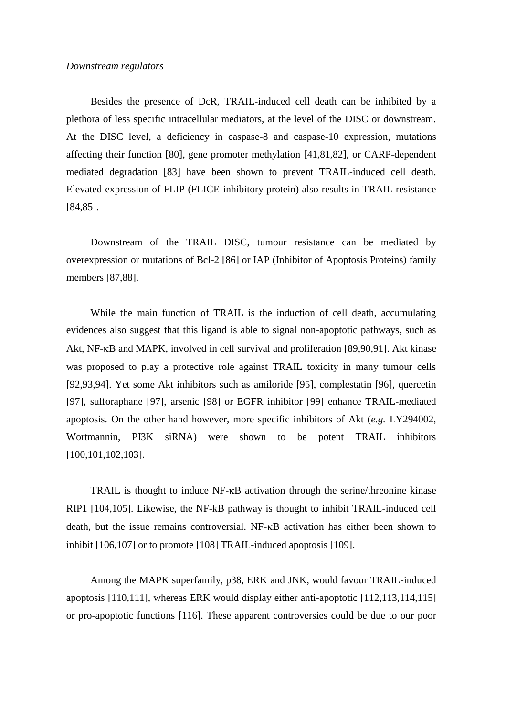Besides the presence of DcR, TRAIL-induced cell death can be inhibited by a plethora of less specific intracellular mediators, at the level of the DISC or downstream. At the DISC level, a deficiency in caspase-8 and caspase-10 expression, mutations affecting their function [80], gene promoter methylation [41,81,82], or CARP-dependent mediated degradation [83] have been shown to prevent TRAIL-induced cell death. Elevated expression of FLIP (FLICE-inhibitory protein) also results in TRAIL resistance [84,85].

Downstream of the TRAIL DISC, tumour resistance can be mediated by overexpression or mutations of Bcl-2 [86] or IAP (Inhibitor of Apoptosis Proteins) family members [87,88].

While the main function of TRAIL is the induction of cell death, accumulating evidences also suggest that this ligand is able to signal non-apoptotic pathways, such as Akt, NF-KB and MAPK, involved in cell survival and proliferation [89,90,91]. Akt kinase was proposed to play a protective role against TRAIL toxicity in many tumour cells [92,93,94]. Yet some Akt inhibitors such as amiloride [95], complestatin [96], quercetin [97], sulforaphane [97], arsenic [98] or EGFR inhibitor [99] enhance TRAIL-mediated apoptosis. On the other hand however, more specific inhibitors of Akt (*e.g.* LY294002, Wortmannin, PI3K siRNA) were shown to be potent TRAIL inhibitors [100,101,102,103].

TRAIL is thought to induce  $NF$ - $\kappa$ B activation through the serine/threonine kinase RIP1 [104,105]. Likewise, the NF-kB pathway is thought to inhibit TRAIL-induced cell death, but the issue remains controversial.  $NF-\kappa B$  activation has either been shown to inhibit [106,107] or to promote [108] TRAIL-induced apoptosis [109].

Among the MAPK superfamily, p38, ERK and JNK, would favour TRAIL-induced apoptosis [110,111], whereas ERK would display either anti-apoptotic [112,113,114,115] or pro-apoptotic functions [116]. These apparent controversies could be due to our poor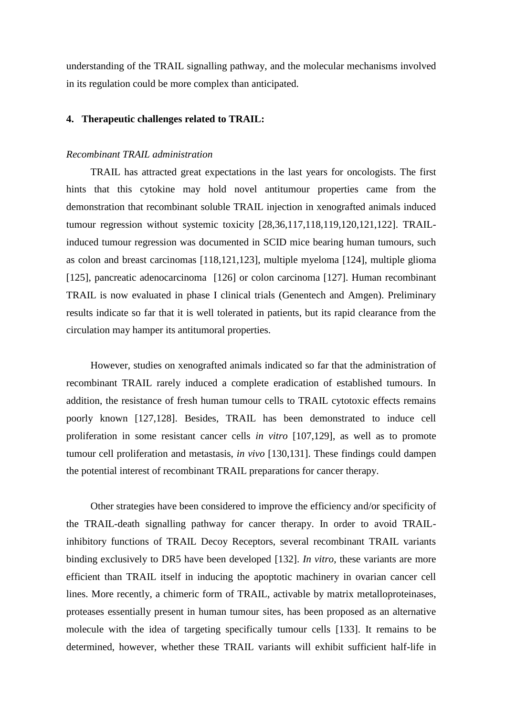understanding of the TRAIL signalling pathway, and the molecular mechanisms involved in its regulation could be more complex than anticipated.

# **4. Therapeutic challenges related to TRAIL:**

# *Recombinant TRAIL administration*

TRAIL has attracted great expectations in the last years for oncologists. The first hints that this cytokine may hold novel antitumour properties came from the demonstration that recombinant soluble TRAIL injection in xenografted animals induced tumour regression without systemic toxicity [28,36,117,118,119,120,121,122]. TRAILinduced tumour regression was documented in SCID mice bearing human tumours, such as colon and breast carcinomas [118,121,123], multiple myeloma [124], multiple glioma [125], pancreatic adenocarcinoma [126] or colon carcinoma [127]. Human recombinant TRAIL is now evaluated in phase I clinical trials (Genentech and Amgen). Preliminary results indicate so far that it is well tolerated in patients, but its rapid clearance from the circulation may hamper its antitumoral properties.

However, studies on xenografted animals indicated so far that the administration of recombinant TRAIL rarely induced a complete eradication of established tumours. In addition, the resistance of fresh human tumour cells to TRAIL cytotoxic effects remains poorly known [127,128]. Besides, TRAIL has been demonstrated to induce cell proliferation in some resistant cancer cells *in vitro* [107,129], as well as to promote tumour cell proliferation and metastasis, *in vivo* [130,131]. These findings could dampen the potential interest of recombinant TRAIL preparations for cancer therapy.

Other strategies have been considered to improve the efficiency and/or specificity of the TRAIL-death signalling pathway for cancer therapy. In order to avoid TRAILinhibitory functions of TRAIL Decoy Receptors, several recombinant TRAIL variants binding exclusively to DR5 have been developed [132]. *In vitro*, these variants are more efficient than TRAIL itself in inducing the apoptotic machinery in ovarian cancer cell lines. More recently, a chimeric form of TRAIL, activable by matrix metalloproteinases, proteases essentially present in human tumour sites, has been proposed as an alternative molecule with the idea of targeting specifically tumour cells [133]. It remains to be determined, however, whether these TRAIL variants will exhibit sufficient half-life in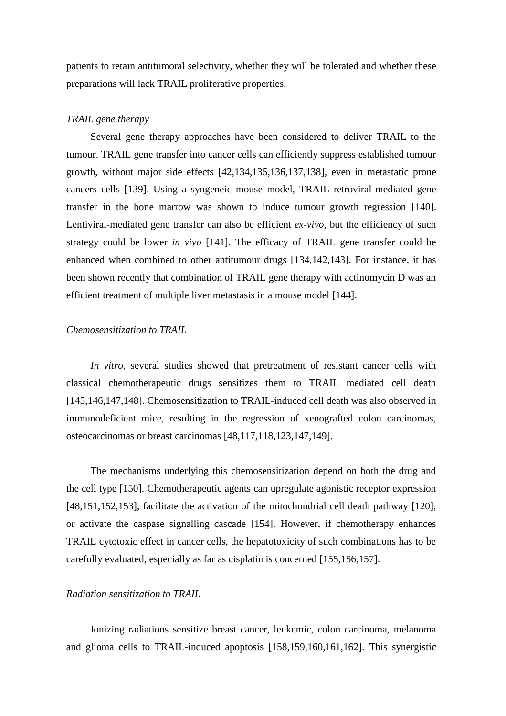patients to retain antitumoral selectivity, whether they will be tolerated and whether these preparations will lack TRAIL proliferative properties.

# *TRAIL gene therapy*

Several gene therapy approaches have been considered to deliver TRAIL to the tumour. TRAIL gene transfer into cancer cells can efficiently suppress established tumour growth, without major side effects [42,134,135,136,137,138], even in metastatic prone cancers cells [139]. Using a syngeneic mouse model, TRAIL retroviral-mediated gene transfer in the bone marrow was shown to induce tumour growth regression [140]. Lentiviral-mediated gene transfer can also be efficient *ex-vivo*, but the efficiency of such strategy could be lower *in vivo* [141]. The efficacy of TRAIL gene transfer could be enhanced when combined to other antitumour drugs [134,142,143]. For instance, it has been shown recently that combination of TRAIL gene therapy with actinomycin D was an efficient treatment of multiple liver metastasis in a mouse model [144].

# *Chemosensitization to TRAIL*

*In vitro*, several studies showed that pretreatment of resistant cancer cells with classical chemotherapeutic drugs sensitizes them to TRAIL mediated cell death [145,146,147,148]. Chemosensitization to TRAIL-induced cell death was also observed in immunodeficient mice, resulting in the regression of xenografted colon carcinomas, osteocarcinomas or breast carcinomas [48,117,118,123,147,149].

The mechanisms underlying this chemosensitization depend on both the drug and the cell type [150]. Chemotherapeutic agents can upregulate agonistic receptor expression [48,151,152,153], facilitate the activation of the mitochondrial cell death pathway [120], or activate the caspase signalling cascade [154]. However, if chemotherapy enhances TRAIL cytotoxic effect in cancer cells, the hepatotoxicity of such combinations has to be carefully evaluated, especially as far as cisplatin is concerned [155,156,157].

#### *Radiation sensitization to TRAIL*

Ionizing radiations sensitize breast cancer, leukemic, colon carcinoma, melanoma and glioma cells to TRAIL-induced apoptosis [158,159,160,161,162]. This synergistic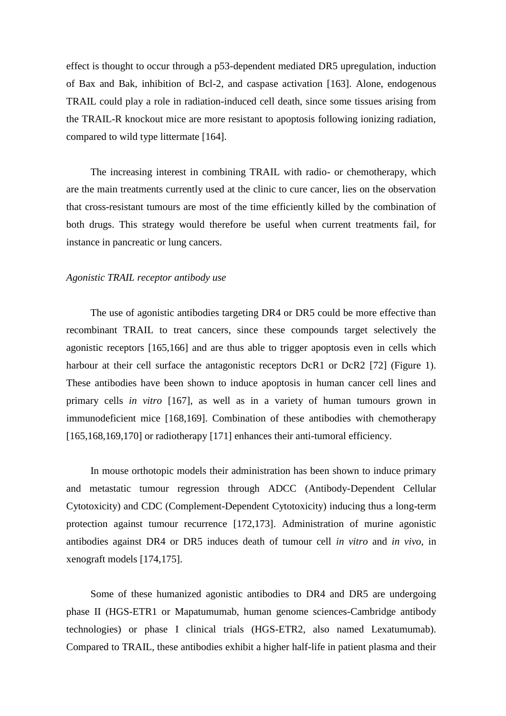effect is thought to occur through a p53-dependent mediated DR5 upregulation, induction of Bax and Bak, inhibition of Bcl-2, and caspase activation [163]. Alone, endogenous TRAIL could play a role in radiation-induced cell death, since some tissues arising from the TRAIL-R knockout mice are more resistant to apoptosis following ionizing radiation, compared to wild type littermate [164].

The increasing interest in combining TRAIL with radio- or chemotherapy, which are the main treatments currently used at the clinic to cure cancer, lies on the observation that cross-resistant tumours are most of the time efficiently killed by the combination of both drugs. This strategy would therefore be useful when current treatments fail, for instance in pancreatic or lung cancers.

#### *Agonistic TRAIL receptor antibody use*

The use of agonistic antibodies targeting DR4 or DR5 could be more effective than recombinant TRAIL to treat cancers, since these compounds target selectively the agonistic receptors [165,166] and are thus able to trigger apoptosis even in cells which harbour at their cell surface the antagonistic receptors DcR1 or DcR2 [72] (Figure 1). These antibodies have been shown to induce apoptosis in human cancer cell lines and primary cells *in vitro* [167], as well as in a variety of human tumours grown in immunodeficient mice [168,169]. Combination of these antibodies with chemotherapy [165,168,169,170] or radiotherapy [171] enhances their anti-tumoral efficiency.

In mouse orthotopic models their administration has been shown to induce primary and metastatic tumour regression through ADCC (Antibody-Dependent Cellular Cytotoxicity) and CDC (Complement-Dependent Cytotoxicity) inducing thus a long-term protection against tumour recurrence [172,173]. Administration of murine agonistic antibodies against DR4 or DR5 induces death of tumour cell *in vitro* and *in vivo*, in xenograft models [174,175].

Some of these humanized agonistic antibodies to DR4 and DR5 are undergoing phase II (HGS-ETR1 or Mapatumumab, human genome sciences-Cambridge antibody technologies) or phase I clinical trials (HGS-ETR2, also named Lexatumumab). Compared to TRAIL, these antibodies exhibit a higher half-life in patient plasma and their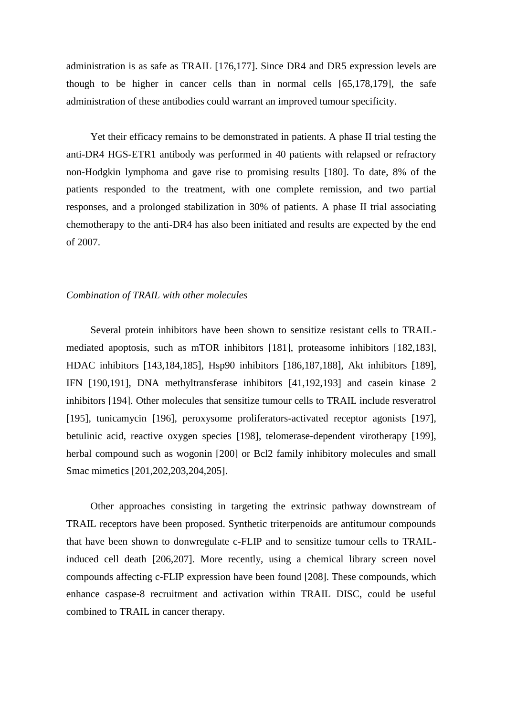administration is as safe as TRAIL [176,177]. Since DR4 and DR5 expression levels are though to be higher in cancer cells than in normal cells [65,178,179], the safe administration of these antibodies could warrant an improved tumour specificity.

Yet their efficacy remains to be demonstrated in patients. A phase II trial testing the anti-DR4 HGS-ETR1 antibody was performed in 40 patients with relapsed or refractory non-Hodgkin lymphoma and gave rise to promising results [180]. To date, 8% of the patients responded to the treatment, with one complete remission, and two partial responses, and a prolonged stabilization in 30% of patients. A phase II trial associating chemotherapy to the anti-DR4 has also been initiated and results are expected by the end of 2007.

## *Combination of TRAIL with other molecules*

Several protein inhibitors have been shown to sensitize resistant cells to TRAILmediated apoptosis, such as mTOR inhibitors [181], proteasome inhibitors [182,183], HDAC inhibitors [143,184,185], Hsp90 inhibitors [186,187,188], Akt inhibitors [189], IFN [190,191], DNA methyltransferase inhibitors [41,192,193] and casein kinase 2 inhibitors [194]. Other molecules that sensitize tumour cells to TRAIL include resveratrol [195], tunicamycin [196], peroxysome proliferators-activated receptor agonists [197], betulinic acid, reactive oxygen species [198], telomerase-dependent virotherapy [199], herbal compound such as wogonin [200] or Bcl2 family inhibitory molecules and small Smac mimetics [201,202,203,204,205].

Other approaches consisting in targeting the extrinsic pathway downstream of TRAIL receptors have been proposed. Synthetic triterpenoids are antitumour compounds that have been shown to donwregulate c-FLIP and to sensitize tumour cells to TRAILinduced cell death [206,207]. More recently, using a chemical library screen novel compounds affecting c-FLIP expression have been found [208]. These compounds, which enhance caspase-8 recruitment and activation within TRAIL DISC, could be useful combined to TRAIL in cancer therapy.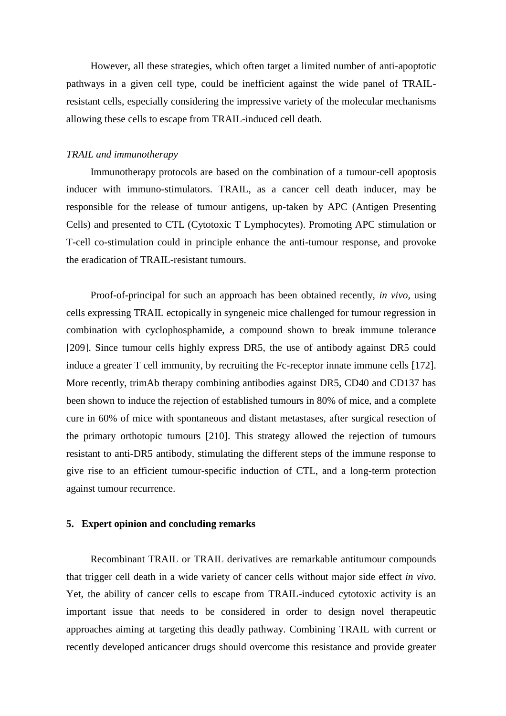However, all these strategies, which often target a limited number of anti-apoptotic pathways in a given cell type, could be inefficient against the wide panel of TRAILresistant cells, especially considering the impressive variety of the molecular mechanisms allowing these cells to escape from TRAIL-induced cell death.

#### *TRAIL and immunotherapy*

Immunotherapy protocols are based on the combination of a tumour-cell apoptosis inducer with immuno-stimulators. TRAIL, as a cancer cell death inducer, may be responsible for the release of tumour antigens, up-taken by APC (Antigen Presenting Cells) and presented to CTL (Cytotoxic T Lymphocytes). Promoting APC stimulation or T-cell co-stimulation could in principle enhance the anti-tumour response, and provoke the eradication of TRAIL-resistant tumours.

Proof-of-principal for such an approach has been obtained recently, *in vivo*, using cells expressing TRAIL ectopically in syngeneic mice challenged for tumour regression in combination with cyclophosphamide, a compound shown to break immune tolerance [209]. Since tumour cells highly express DR5, the use of antibody against DR5 could induce a greater T cell immunity, by recruiting the Fc-receptor innate immune cells [172]. More recently, trimAb therapy combining antibodies against DR5, CD40 and CD137 has been shown to induce the rejection of established tumours in 80% of mice, and a complete cure in 60% of mice with spontaneous and distant metastases, after surgical resection of the primary orthotopic tumours [210]. This strategy allowed the rejection of tumours resistant to anti-DR5 antibody, stimulating the different steps of the immune response to give rise to an efficient tumour-specific induction of CTL, and a long-term protection against tumour recurrence.

#### **5. Expert opinion and concluding remarks**

Recombinant TRAIL or TRAIL derivatives are remarkable antitumour compounds that trigger cell death in a wide variety of cancer cells without major side effect *in vivo*. Yet, the ability of cancer cells to escape from TRAIL-induced cytotoxic activity is an important issue that needs to be considered in order to design novel therapeutic approaches aiming at targeting this deadly pathway. Combining TRAIL with current or recently developed anticancer drugs should overcome this resistance and provide greater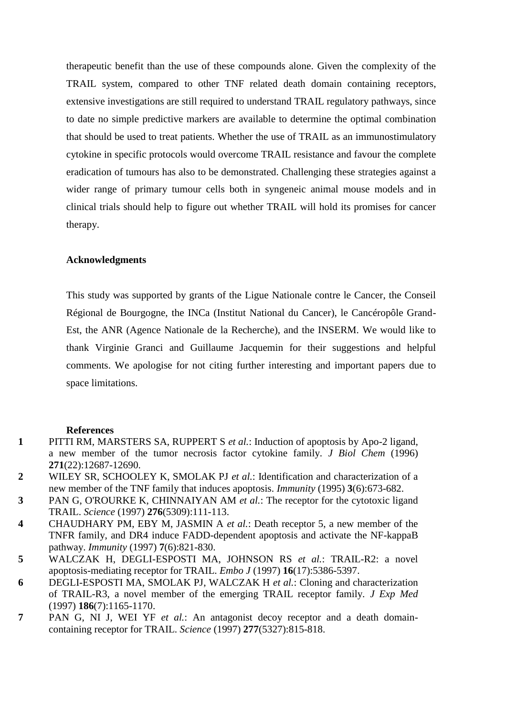therapeutic benefit than the use of these compounds alone. Given the complexity of the TRAIL system, compared to other TNF related death domain containing receptors, extensive investigations are still required to understand TRAIL regulatory pathways, since to date no simple predictive markers are available to determine the optimal combination that should be used to treat patients. Whether the use of TRAIL as an immunostimulatory cytokine in specific protocols would overcome TRAIL resistance and favour the complete eradication of tumours has also to be demonstrated. Challenging these strategies against a wider range of primary tumour cells both in syngeneic animal mouse models and in clinical trials should help to figure out whether TRAIL will hold its promises for cancer therapy.

# **Acknowledgments**

This study was supported by grants of the Ligue Nationale contre le Cancer, the Conseil Régional de Bourgogne, the INCa (Institut National du Cancer), le Cancéropôle Grand-Est, the ANR (Agence Nationale de la Recherche), and the INSERM. We would like to thank Virginie Granci and Guillaume Jacquemin for their suggestions and helpful comments. We apologise for not citing further interesting and important papers due to space limitations.

### **References**

- **1** PITTI RM, MARSTERS SA, RUPPERT S *et al.*: Induction of apoptosis by Apo-2 ligand, a new member of the tumor necrosis factor cytokine family. *J Biol Chem* (1996) **271**(22):12687-12690.
- **2** WILEY SR, SCHOOLEY K, SMOLAK PJ *et al.*: Identification and characterization of a new member of the TNF family that induces apoptosis. *Immunity* (1995) **3**(6):673-682.
- **3** PAN G, O'ROURKE K, CHINNAIYAN AM *et al.*: The receptor for the cytotoxic ligand TRAIL. *Science* (1997) **276**(5309):111-113.
- **4** CHAUDHARY PM, EBY M, JASMIN A *et al.*: Death receptor 5, a new member of the TNFR family, and DR4 induce FADD-dependent apoptosis and activate the NF-kappaB pathway. *Immunity* (1997) **7**(6):821-830.
- **5** WALCZAK H, DEGLI-ESPOSTI MA, JOHNSON RS *et al.*: TRAIL-R2: a novel apoptosis-mediating receptor for TRAIL. *Embo J* (1997) **16**(17):5386-5397.
- **6** DEGLI-ESPOSTI MA, SMOLAK PJ, WALCZAK H *et al.*: Cloning and characterization of TRAIL-R3, a novel member of the emerging TRAIL receptor family. *J Exp Med*  (1997) **186**(7):1165-1170.
- **7** PAN G, NI J, WEI YF *et al.*: An antagonist decoy receptor and a death domaincontaining receptor for TRAIL. *Science* (1997) **277**(5327):815-818.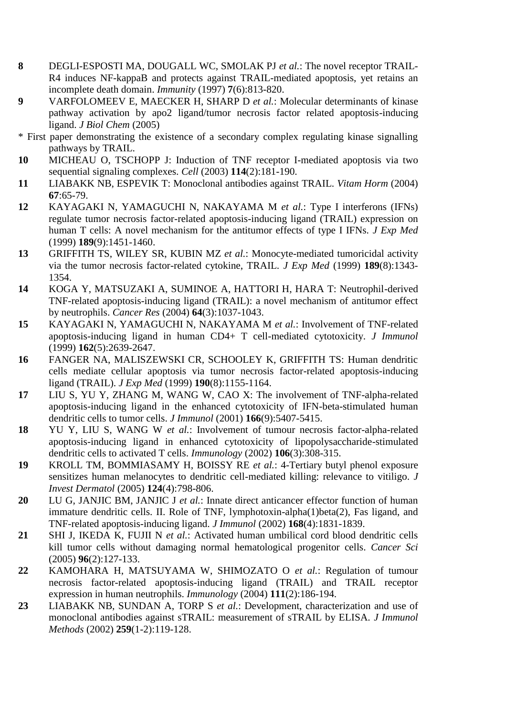- **8** DEGLI-ESPOSTI MA, DOUGALL WC, SMOLAK PJ *et al.*: The novel receptor TRAIL-R4 induces NF-kappaB and protects against TRAIL-mediated apoptosis, yet retains an incomplete death domain. *Immunity* (1997) **7**(6):813-820.
- **9** VARFOLOMEEV E, MAECKER H, SHARP D *et al.*: Molecular determinants of kinase pathway activation by apo2 ligand/tumor necrosis factor related apoptosis-inducing ligand. *J Biol Chem* (2005)
- \* First paper demonstrating the existence of a secondary complex regulating kinase signalling pathways by TRAIL.
- **10** MICHEAU O, TSCHOPP J: Induction of TNF receptor I-mediated apoptosis via two sequential signaling complexes. *Cell* (2003) **114**(2):181-190.
- **11** LIABAKK NB, ESPEVIK T: Monoclonal antibodies against TRAIL. *Vitam Horm* (2004) **67**:65-79.
- **12** KAYAGAKI N, YAMAGUCHI N, NAKAYAMA M *et al.*: Type I interferons (IFNs) regulate tumor necrosis factor-related apoptosis-inducing ligand (TRAIL) expression on human T cells: A novel mechanism for the antitumor effects of type I IFNs. *J Exp Med*  (1999) **189**(9):1451-1460.
- **13** GRIFFITH TS, WILEY SR, KUBIN MZ *et al.*: Monocyte-mediated tumoricidal activity via the tumor necrosis factor-related cytokine, TRAIL. *J Exp Med* (1999) **189**(8):1343- 1354.
- **14** KOGA Y, MATSUZAKI A, SUMINOE A, HATTORI H, HARA T: Neutrophil-derived TNF-related apoptosis-inducing ligand (TRAIL): a novel mechanism of antitumor effect by neutrophils. *Cancer Res* (2004) **64**(3):1037-1043.
- **15** KAYAGAKI N, YAMAGUCHI N, NAKAYAMA M *et al.*: Involvement of TNF-related apoptosis-inducing ligand in human CD4+ T cell-mediated cytotoxicity. *J Immunol*  (1999) **162**(5):2639-2647.
- **16** FANGER NA, MALISZEWSKI CR, SCHOOLEY K, GRIFFITH TS: Human dendritic cells mediate cellular apoptosis via tumor necrosis factor-related apoptosis-inducing ligand (TRAIL). *J Exp Med* (1999) **190**(8):1155-1164.
- **17** LIU S, YU Y, ZHANG M, WANG W, CAO X: The involvement of TNF-alpha-related apoptosis-inducing ligand in the enhanced cytotoxicity of IFN-beta-stimulated human dendritic cells to tumor cells. *J Immunol* (2001) **166**(9):5407-5415.
- **18** YU Y, LIU S, WANG W *et al.*: Involvement of tumour necrosis factor-alpha-related apoptosis-inducing ligand in enhanced cytotoxicity of lipopolysaccharide-stimulated dendritic cells to activated T cells. *Immunology* (2002) **106**(3):308-315.
- **19** KROLL TM, BOMMIASAMY H, BOISSY RE *et al.*: 4-Tertiary butyl phenol exposure sensitizes human melanocytes to dendritic cell-mediated killing: relevance to vitiligo. *J Invest Dermatol* (2005) **124**(4):798-806.
- **20** LU G, JANJIC BM, JANJIC J *et al.*: Innate direct anticancer effector function of human immature dendritic cells. II. Role of TNF, lymphotoxin-alpha(1)beta(2), Fas ligand, and TNF-related apoptosis-inducing ligand. *J Immunol* (2002) **168**(4):1831-1839.
- **21** SHI J, IKEDA K, FUJII N *et al.*: Activated human umbilical cord blood dendritic cells kill tumor cells without damaging normal hematological progenitor cells. *Cancer Sci*  (2005) **96**(2):127-133.
- **22** KAMOHARA H, MATSUYAMA W, SHIMOZATO O *et al.*: Regulation of tumour necrosis factor-related apoptosis-inducing ligand (TRAIL) and TRAIL receptor expression in human neutrophils. *Immunology* (2004) **111**(2):186-194.
- **23** LIABAKK NB, SUNDAN A, TORP S *et al.*: Development, characterization and use of monoclonal antibodies against sTRAIL: measurement of sTRAIL by ELISA. *J Immunol Methods* (2002) **259**(1-2):119-128.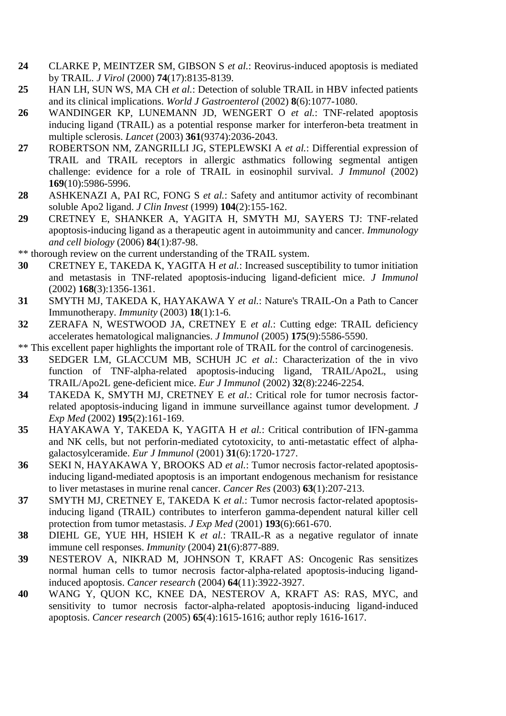- **24** CLARKE P, MEINTZER SM, GIBSON S *et al.*: Reovirus-induced apoptosis is mediated by TRAIL. *J Virol* (2000) **74**(17):8135-8139.
- **25** HAN LH, SUN WS, MA CH *et al.*: Detection of soluble TRAIL in HBV infected patients and its clinical implications. *World J Gastroenterol* (2002) **8**(6):1077-1080.
- **26** WANDINGER KP, LUNEMANN JD, WENGERT O *et al.*: TNF-related apoptosis inducing ligand (TRAIL) as a potential response marker for interferon-beta treatment in multiple sclerosis. *Lancet* (2003) **361**(9374):2036-2043.
- **27** ROBERTSON NM, ZANGRILLI JG, STEPLEWSKI A *et al.*: Differential expression of TRAIL and TRAIL receptors in allergic asthmatics following segmental antigen challenge: evidence for a role of TRAIL in eosinophil survival. *J Immunol* (2002) **169**(10):5986-5996.
- **28** ASHKENAZI A, PAI RC, FONG S *et al.*: Safety and antitumor activity of recombinant soluble Apo2 ligand. *J Clin Invest* (1999) **104**(2):155-162.
- **29** CRETNEY E, SHANKER A, YAGITA H, SMYTH MJ, SAYERS TJ: TNF-related apoptosis-inducing ligand as a therapeutic agent in autoimmunity and cancer. *Immunology and cell biology* (2006) **84**(1):87-98.
- \*\* thorough review on the current understanding of the TRAIL system.
- **30** CRETNEY E, TAKEDA K, YAGITA H *et al.*: Increased susceptibility to tumor initiation and metastasis in TNF-related apoptosis-inducing ligand-deficient mice. *J Immunol*  (2002) **168**(3):1356-1361.
- **31** SMYTH MJ, TAKEDA K, HAYAKAWA Y *et al.*: Nature's TRAIL-On a Path to Cancer Immunotherapy. *Immunity* (2003) **18**(1):1-6.
- **32** ZERAFA N, WESTWOOD JA, CRETNEY E *et al.*: Cutting edge: TRAIL deficiency accelerates hematological malignancies. *J Immunol* (2005) **175**(9):5586-5590.
- \*\* This excellent paper highlights the important role of TRAIL for the control of carcinogenesis.
- **33** SEDGER LM, GLACCUM MB, SCHUH JC *et al.*: Characterization of the in vivo function of TNF-alpha-related apoptosis-inducing ligand, TRAIL/Apo2L, using TRAIL/Apo2L gene-deficient mice. *Eur J Immunol* (2002) **32**(8):2246-2254.
- **34** TAKEDA K, SMYTH MJ, CRETNEY E *et al.*: Critical role for tumor necrosis factorrelated apoptosis-inducing ligand in immune surveillance against tumor development. *J Exp Med* (2002) **195**(2):161-169.
- **35** HAYAKAWA Y, TAKEDA K, YAGITA H *et al.*: Critical contribution of IFN-gamma and NK cells, but not perforin-mediated cytotoxicity, to anti-metastatic effect of alphagalactosylceramide. *Eur J Immunol* (2001) **31**(6):1720-1727.
- **36** SEKI N, HAYAKAWA Y, BROOKS AD *et al.*: Tumor necrosis factor-related apoptosisinducing ligand-mediated apoptosis is an important endogenous mechanism for resistance to liver metastases in murine renal cancer. *Cancer Res* (2003) **63**(1):207-213.
- **37** SMYTH MJ, CRETNEY E, TAKEDA K *et al.*: Tumor necrosis factor-related apoptosisinducing ligand (TRAIL) contributes to interferon gamma-dependent natural killer cell protection from tumor metastasis. *J Exp Med* (2001) **193**(6):661-670.
- **38** DIEHL GE, YUE HH, HSIEH K *et al.*: TRAIL-R as a negative regulator of innate immune cell responses. *Immunity* (2004) **21**(6):877-889.
- **39** NESTEROV A, NIKRAD M, JOHNSON T, KRAFT AS: Oncogenic Ras sensitizes normal human cells to tumor necrosis factor-alpha-related apoptosis-inducing ligandinduced apoptosis. *Cancer research* (2004) **64**(11):3922-3927.
- **40** WANG Y, QUON KC, KNEE DA, NESTEROV A, KRAFT AS: RAS, MYC, and sensitivity to tumor necrosis factor-alpha-related apoptosis-inducing ligand-induced apoptosis. *Cancer research* (2005) **65**(4):1615-1616; author reply 1616-1617.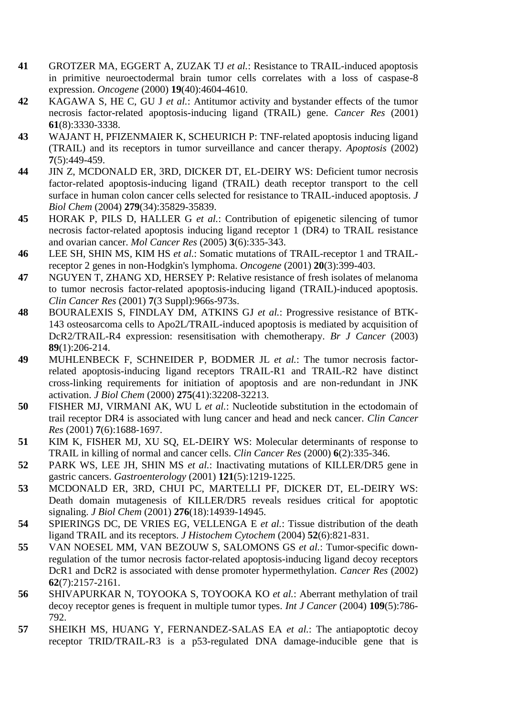- **41** GROTZER MA, EGGERT A, ZUZAK TJ *et al.*: Resistance to TRAIL-induced apoptosis in primitive neuroectodermal brain tumor cells correlates with a loss of caspase-8 expression. *Oncogene* (2000) **19**(40):4604-4610.
- **42** KAGAWA S, HE C, GU J *et al.*: Antitumor activity and bystander effects of the tumor necrosis factor-related apoptosis-inducing ligand (TRAIL) gene. *Cancer Res* (2001) **61**(8):3330-3338.
- **43** WAJANT H, PFIZENMAIER K, SCHEURICH P: TNF-related apoptosis inducing ligand (TRAIL) and its receptors in tumor surveillance and cancer therapy. *Apoptosis* (2002) **7**(5):449-459.
- **44** JIN Z, MCDONALD ER, 3RD, DICKER DT, EL-DEIRY WS: Deficient tumor necrosis factor-related apoptosis-inducing ligand (TRAIL) death receptor transport to the cell surface in human colon cancer cells selected for resistance to TRAIL-induced apoptosis. *J Biol Chem* (2004) **279**(34):35829-35839.
- **45** HORAK P, PILS D, HALLER G *et al.*: Contribution of epigenetic silencing of tumor necrosis factor-related apoptosis inducing ligand receptor 1 (DR4) to TRAIL resistance and ovarian cancer. *Mol Cancer Res* (2005) **3**(6):335-343.
- **46** LEE SH, SHIN MS, KIM HS *et al.*: Somatic mutations of TRAIL-receptor 1 and TRAILreceptor 2 genes in non-Hodgkin's lymphoma. *Oncogene* (2001) **20**(3):399-403.
- **47** NGUYEN T, ZHANG XD, HERSEY P: Relative resistance of fresh isolates of melanoma to tumor necrosis factor-related apoptosis-inducing ligand (TRAIL)-induced apoptosis. *Clin Cancer Res* (2001) **7**(3 Suppl):966s-973s.
- **48** BOURALEXIS S, FINDLAY DM, ATKINS GJ *et al.*: Progressive resistance of BTK-143 osteosarcoma cells to Apo2L/TRAIL-induced apoptosis is mediated by acquisition of DcR2/TRAIL-R4 expression: resensitisation with chemotherapy. *Br J Cancer* (2003) **89**(1):206-214.
- **49** MUHLENBECK F, SCHNEIDER P, BODMER JL *et al.*: The tumor necrosis factorrelated apoptosis-inducing ligand receptors TRAIL-R1 and TRAIL-R2 have distinct cross-linking requirements for initiation of apoptosis and are non-redundant in JNK activation. *J Biol Chem* (2000) **275**(41):32208-32213.
- **50** FISHER MJ, VIRMANI AK, WU L *et al.*: Nucleotide substitution in the ectodomain of trail receptor DR4 is associated with lung cancer and head and neck cancer. *Clin Cancer Res* (2001) **7**(6):1688-1697.
- **51** KIM K, FISHER MJ, XU SQ, EL-DEIRY WS: Molecular determinants of response to TRAIL in killing of normal and cancer cells. *Clin Cancer Res* (2000) **6**(2):335-346.
- **52** PARK WS, LEE JH, SHIN MS *et al.*: Inactivating mutations of KILLER/DR5 gene in gastric cancers. *Gastroenterology* (2001) **121**(5):1219-1225.
- **53** MCDONALD ER, 3RD, CHUI PC, MARTELLI PF, DICKER DT, EL-DEIRY WS: Death domain mutagenesis of KILLER/DR5 reveals residues critical for apoptotic signaling. *J Biol Chem* (2001) **276**(18):14939-14945.
- **54** SPIERINGS DC, DE VRIES EG, VELLENGA E *et al.*: Tissue distribution of the death ligand TRAIL and its receptors. *J Histochem Cytochem* (2004) **52**(6):821-831.
- **55** VAN NOESEL MM, VAN BEZOUW S, SALOMONS GS *et al.*: Tumor-specific downregulation of the tumor necrosis factor-related apoptosis-inducing ligand decoy receptors DcR1 and DcR2 is associated with dense promoter hypermethylation. *Cancer Res* (2002) **62**(7):2157-2161.
- **56** SHIVAPURKAR N, TOYOOKA S, TOYOOKA KO *et al.*: Aberrant methylation of trail decoy receptor genes is frequent in multiple tumor types. *Int J Cancer* (2004) **109**(5):786- 792.
- **57** SHEIKH MS, HUANG Y, FERNANDEZ-SALAS EA *et al.*: The antiapoptotic decoy receptor TRID/TRAIL-R3 is a p53-regulated DNA damage-inducible gene that is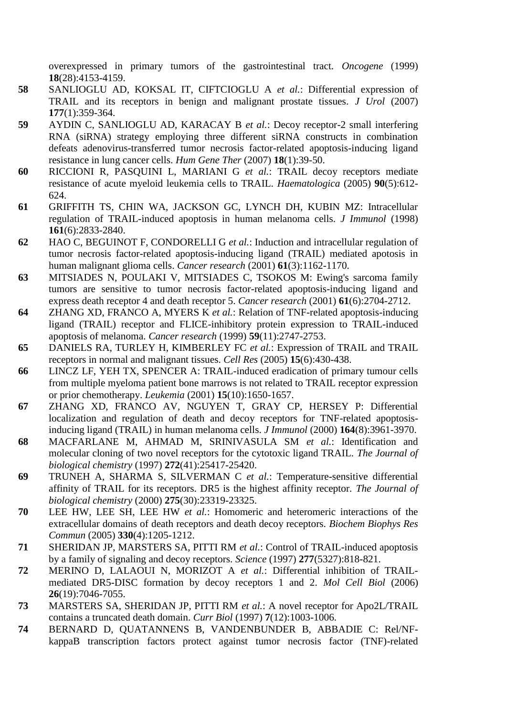overexpressed in primary tumors of the gastrointestinal tract. *Oncogene* (1999) **18**(28):4153-4159.

- **58** SANLIOGLU AD, KOKSAL IT, CIFTCIOGLU A *et al.*: Differential expression of TRAIL and its receptors in benign and malignant prostate tissues. *J Urol* (2007) **177**(1):359-364.
- **59** AYDIN C, SANLIOGLU AD, KARACAY B *et al.*: Decoy receptor-2 small interfering RNA (siRNA) strategy employing three different siRNA constructs in combination defeats adenovirus-transferred tumor necrosis factor-related apoptosis-inducing ligand resistance in lung cancer cells. *Hum Gene Ther* (2007) **18**(1):39-50.
- **60** RICCIONI R, PASQUINI L, MARIANI G *et al.*: TRAIL decoy receptors mediate resistance of acute myeloid leukemia cells to TRAIL. *Haematologica* (2005) **90**(5):612- 624.
- **61** GRIFFITH TS, CHIN WA, JACKSON GC, LYNCH DH, KUBIN MZ: Intracellular regulation of TRAIL-induced apoptosis in human melanoma cells. *J Immunol* (1998) **161**(6):2833-2840.
- **62** HAO C, BEGUINOT F, CONDORELLI G *et al.*: Induction and intracellular regulation of tumor necrosis factor-related apoptosis-inducing ligand (TRAIL) mediated apotosis in human malignant glioma cells. *Cancer research* (2001) **61**(3):1162-1170.
- **63** MITSIADES N, POULAKI V, MITSIADES C, TSOKOS M: Ewing's sarcoma family tumors are sensitive to tumor necrosis factor-related apoptosis-inducing ligand and express death receptor 4 and death receptor 5. *Cancer research* (2001) **61**(6):2704-2712.
- **64** ZHANG XD, FRANCO A, MYERS K *et al.*: Relation of TNF-related apoptosis-inducing ligand (TRAIL) receptor and FLICE-inhibitory protein expression to TRAIL-induced apoptosis of melanoma. *Cancer research* (1999) **59**(11):2747-2753.
- **65** DANIELS RA, TURLEY H, KIMBERLEY FC *et al.*: Expression of TRAIL and TRAIL receptors in normal and malignant tissues. *Cell Res* (2005) **15**(6):430-438.
- **66** LINCZ LF, YEH TX, SPENCER A: TRAIL-induced eradication of primary tumour cells from multiple myeloma patient bone marrows is not related to TRAIL receptor expression or prior chemotherapy. *Leukemia* (2001) **15**(10):1650-1657.
- **67** ZHANG XD, FRANCO AV, NGUYEN T, GRAY CP, HERSEY P: Differential localization and regulation of death and decoy receptors for TNF-related apoptosisinducing ligand (TRAIL) in human melanoma cells. *J Immunol* (2000) **164**(8):3961-3970.
- **68** MACFARLANE M, AHMAD M, SRINIVASULA SM *et al.*: Identification and molecular cloning of two novel receptors for the cytotoxic ligand TRAIL. *The Journal of biological chemistry* (1997) **272**(41):25417-25420.
- **69** TRUNEH A, SHARMA S, SILVERMAN C *et al.*: Temperature-sensitive differential affinity of TRAIL for its receptors. DR5 is the highest affinity receptor. *The Journal of biological chemistry* (2000) **275**(30):23319-23325.
- **70** LEE HW, LEE SH, LEE HW *et al.*: Homomeric and heteromeric interactions of the extracellular domains of death receptors and death decoy receptors. *Biochem Biophys Res Commun* (2005) **330**(4):1205-1212.
- **71** SHERIDAN JP, MARSTERS SA, PITTI RM *et al.*: Control of TRAIL-induced apoptosis by a family of signaling and decoy receptors. *Science* (1997) **277**(5327):818-821.
- **72** MERINO D, LALAOUI N, MORIZOT A *et al.*: Differential inhibition of TRAILmediated DR5-DISC formation by decoy receptors 1 and 2. *Mol Cell Biol* (2006) **26**(19):7046-7055.
- **73** MARSTERS SA, SHERIDAN JP, PITTI RM *et al.*: A novel receptor for Apo2L/TRAIL contains a truncated death domain. *Curr Biol* (1997) **7**(12):1003-1006.
- **74** BERNARD D, QUATANNENS B, VANDENBUNDER B, ABBADIE C: Rel/NFkappaB transcription factors protect against tumor necrosis factor (TNF)-related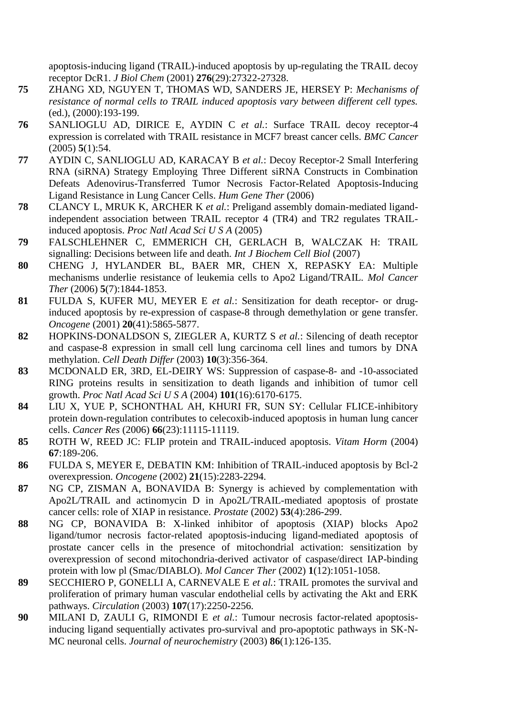apoptosis-inducing ligand (TRAIL)-induced apoptosis by up-regulating the TRAIL decoy receptor DcR1. *J Biol Chem* (2001) **276**(29):27322-27328.

- **75** ZHANG XD, NGUYEN T, THOMAS WD, SANDERS JE, HERSEY P: *Mechanisms of resistance of normal cells to TRAIL induced apoptosis vary between different cell types.* (ed.), (2000):193-199.
- **76** SANLIOGLU AD, DIRICE E, AYDIN C *et al.*: Surface TRAIL decoy receptor-4 expression is correlated with TRAIL resistance in MCF7 breast cancer cells. *BMC Cancer*  (2005) **5**(1):54.
- **77** AYDIN C, SANLIOGLU AD, KARACAY B *et al.*: Decoy Receptor-2 Small Interfering RNA (siRNA) Strategy Employing Three Different siRNA Constructs in Combination Defeats Adenovirus-Transferred Tumor Necrosis Factor-Related Apoptosis-Inducing Ligand Resistance in Lung Cancer Cells. *Hum Gene Ther* (2006)
- **78** CLANCY L, MRUK K, ARCHER K *et al.*: Preligand assembly domain-mediated ligandindependent association between TRAIL receptor 4 (TR4) and TR2 regulates TRAILinduced apoptosis. *Proc Natl Acad Sci U S A* (2005)
- **79** FALSCHLEHNER C, EMMERICH CH, GERLACH B, WALCZAK H: TRAIL signalling: Decisions between life and death. *Int J Biochem Cell Biol* (2007)
- **80** CHENG J, HYLANDER BL, BAER MR, CHEN X, REPASKY EA: Multiple mechanisms underlie resistance of leukemia cells to Apo2 Ligand/TRAIL. *Mol Cancer Ther* (2006) **5**(7):1844-1853.
- **81** FULDA S, KUFER MU, MEYER E *et al.*: Sensitization for death receptor- or druginduced apoptosis by re-expression of caspase-8 through demethylation or gene transfer. *Oncogene* (2001) **20**(41):5865-5877.
- **82** HOPKINS-DONALDSON S, ZIEGLER A, KURTZ S *et al.*: Silencing of death receptor and caspase-8 expression in small cell lung carcinoma cell lines and tumors by DNA methylation. *Cell Death Differ* (2003) **10**(3):356-364.
- **83** MCDONALD ER, 3RD, EL-DEIRY WS: Suppression of caspase-8- and -10-associated RING proteins results in sensitization to death ligands and inhibition of tumor cell growth. *Proc Natl Acad Sci U S A* (2004) **101**(16):6170-6175.
- **84** LIU X, YUE P, SCHONTHAL AH, KHURI FR, SUN SY: Cellular FLICE-inhibitory protein down-regulation contributes to celecoxib-induced apoptosis in human lung cancer cells. *Cancer Res* (2006) **66**(23):11115-11119.
- **85** ROTH W, REED JC: FLIP protein and TRAIL-induced apoptosis. *Vitam Horm* (2004) **67**:189-206.
- **86** FULDA S, MEYER E, DEBATIN KM: Inhibition of TRAIL-induced apoptosis by Bcl-2 overexpression. *Oncogene* (2002) **21**(15):2283-2294.
- **87** NG CP, ZISMAN A, BONAVIDA B: Synergy is achieved by complementation with Apo2L/TRAIL and actinomycin D in Apo2L/TRAIL-mediated apoptosis of prostate cancer cells: role of XIAP in resistance. *Prostate* (2002) **53**(4):286-299.
- **88** NG CP, BONAVIDA B: X-linked inhibitor of apoptosis (XIAP) blocks Apo2 ligand/tumor necrosis factor-related apoptosis-inducing ligand-mediated apoptosis of prostate cancer cells in the presence of mitochondrial activation: sensitization by overexpression of second mitochondria-derived activator of caspase/direct IAP-binding protein with low pl (Smac/DIABLO). *Mol Cancer Ther* (2002) **1**(12):1051-1058.
- **89** SECCHIERO P, GONELLI A, CARNEVALE E *et al.*: TRAIL promotes the survival and proliferation of primary human vascular endothelial cells by activating the Akt and ERK pathways. *Circulation* (2003) **107**(17):2250-2256.
- **90** MILANI D, ZAULI G, RIMONDI E *et al.*: Tumour necrosis factor-related apoptosisinducing ligand sequentially activates pro-survival and pro-apoptotic pathways in SK-N-MC neuronal cells. *Journal of neurochemistry* (2003) **86**(1):126-135.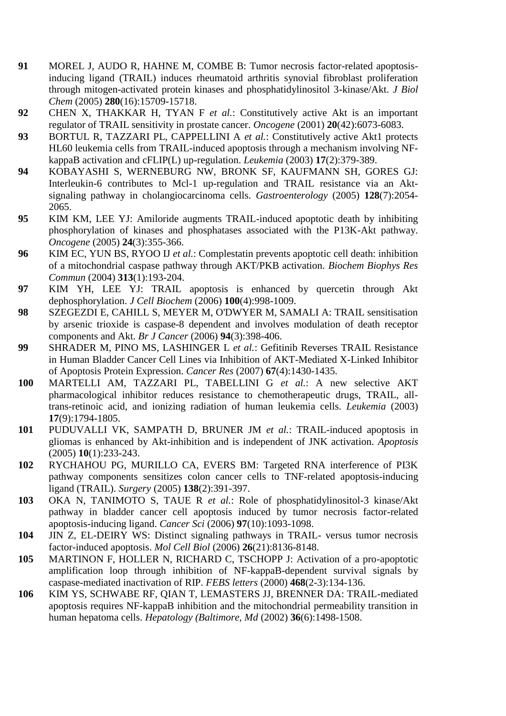- **91** MOREL J, AUDO R, HAHNE M, COMBE B: Tumor necrosis factor-related apoptosisinducing ligand (TRAIL) induces rheumatoid arthritis synovial fibroblast proliferation through mitogen-activated protein kinases and phosphatidylinositol 3-kinase/Akt. *J Biol Chem* (2005) **280**(16):15709-15718.
- **92** CHEN X, THAKKAR H, TYAN F *et al.*: Constitutively active Akt is an important regulator of TRAIL sensitivity in prostate cancer. *Oncogene* (2001) **20**(42):6073-6083.
- **93** BORTUL R, TAZZARI PL, CAPPELLINI A *et al.*: Constitutively active Akt1 protects HL60 leukemia cells from TRAIL-induced apoptosis through a mechanism involving NFkappaB activation and cFLIP(L) up-regulation. *Leukemia* (2003) **17**(2):379-389.
- **94** KOBAYASHI S, WERNEBURG NW, BRONK SF, KAUFMANN SH, GORES GJ: Interleukin-6 contributes to Mcl-1 up-regulation and TRAIL resistance via an Aktsignaling pathway in cholangiocarcinoma cells. *Gastroenterology* (2005) **128**(7):2054- 2065.
- **95** KIM KM, LEE YJ: Amiloride augments TRAIL-induced apoptotic death by inhibiting phosphorylation of kinases and phosphatases associated with the P13K-Akt pathway. *Oncogene* (2005) **24**(3):355-366.
- **96** KIM EC, YUN BS, RYOO IJ *et al.*: Complestatin prevents apoptotic cell death: inhibition of a mitochondrial caspase pathway through AKT/PKB activation. *Biochem Biophys Res Commun* (2004) **313**(1):193-204.
- **97** KIM YH, LEE YJ: TRAIL apoptosis is enhanced by quercetin through Akt dephosphorylation. *J Cell Biochem* (2006) **100**(4):998-1009.
- **98** SZEGEZDI E, CAHILL S, MEYER M, O'DWYER M, SAMALI A: TRAIL sensitisation by arsenic trioxide is caspase-8 dependent and involves modulation of death receptor components and Akt. *Br J Cancer* (2006) **94**(3):398-406.
- **99** SHRADER M, PINO MS, LASHINGER L *et al.*: Gefitinib Reverses TRAIL Resistance in Human Bladder Cancer Cell Lines via Inhibition of AKT-Mediated X-Linked Inhibitor of Apoptosis Protein Expression. *Cancer Res* (2007) **67**(4):1430-1435.
- **100** MARTELLI AM, TAZZARI PL, TABELLINI G *et al.*: A new selective AKT pharmacological inhibitor reduces resistance to chemotherapeutic drugs, TRAIL, alltrans-retinoic acid, and ionizing radiation of human leukemia cells. *Leukemia* (2003) **17**(9):1794-1805.
- **101** PUDUVALLI VK, SAMPATH D, BRUNER JM *et al.*: TRAIL-induced apoptosis in gliomas is enhanced by Akt-inhibition and is independent of JNK activation. *Apoptosis*  (2005) **10**(1):233-243.
- **102** RYCHAHOU PG, MURILLO CA, EVERS BM: Targeted RNA interference of PI3K pathway components sensitizes colon cancer cells to TNF-related apoptosis-inducing ligand (TRAIL). *Surgery* (2005) **138**(2):391-397.
- **103** OKA N, TANIMOTO S, TAUE R *et al.*: Role of phosphatidylinositol-3 kinase/Akt pathway in bladder cancer cell apoptosis induced by tumor necrosis factor-related apoptosis-inducing ligand. *Cancer Sci* (2006) **97**(10):1093-1098.
- **104** JIN Z, EL-DEIRY WS: Distinct signaling pathways in TRAIL- versus tumor necrosis factor-induced apoptosis. *Mol Cell Biol* (2006) **26**(21):8136-8148.
- **105** MARTINON F, HOLLER N, RICHARD C, TSCHOPP J: Activation of a pro-apoptotic amplification loop through inhibition of NF-kappaB-dependent survival signals by caspase-mediated inactivation of RIP. *FEBS letters* (2000) **468**(2-3):134-136.
- **106** KIM YS, SCHWABE RF, QIAN T, LEMASTERS JJ, BRENNER DA: TRAIL-mediated apoptosis requires NF-kappaB inhibition and the mitochondrial permeability transition in human hepatoma cells. *Hepatology (Baltimore, Md* (2002) **36**(6):1498-1508.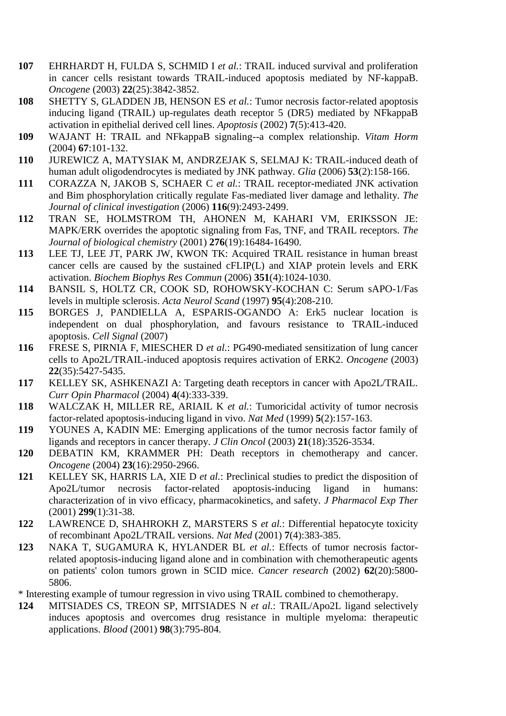- **107** EHRHARDT H, FULDA S, SCHMID I *et al.*: TRAIL induced survival and proliferation in cancer cells resistant towards TRAIL-induced apoptosis mediated by NF-kappaB. *Oncogene* (2003) **22**(25):3842-3852.
- **108** SHETTY S, GLADDEN JB, HENSON ES *et al.*: Tumor necrosis factor-related apoptosis inducing ligand (TRAIL) up-regulates death receptor 5 (DR5) mediated by NFkappaB activation in epithelial derived cell lines. *Apoptosis* (2002) **7**(5):413-420.
- **109** WAJANT H: TRAIL and NFkappaB signaling--a complex relationship. *Vitam Horm*  (2004) **67**:101-132.
- **110** JUREWICZ A, MATYSIAK M, ANDRZEJAK S, SELMAJ K: TRAIL-induced death of human adult oligodendrocytes is mediated by JNK pathway. *Glia* (2006) **53**(2):158-166.
- **111** CORAZZA N, JAKOB S, SCHAER C *et al.*: TRAIL receptor-mediated JNK activation and Bim phosphorylation critically regulate Fas-mediated liver damage and lethality. *The Journal of clinical investigation* (2006) **116**(9):2493-2499.
- **112** TRAN SE, HOLMSTROM TH, AHONEN M, KAHARI VM, ERIKSSON JE: MAPK/ERK overrides the apoptotic signaling from Fas, TNF, and TRAIL receptors. *The Journal of biological chemistry* (2001) **276**(19):16484-16490.
- **113** LEE TJ, LEE JT, PARK JW, KWON TK: Acquired TRAIL resistance in human breast cancer cells are caused by the sustained cFLIP(L) and XIAP protein levels and ERK activation. *Biochem Biophys Res Commun* (2006) **351**(4):1024-1030.
- **114** BANSIL S, HOLTZ CR, COOK SD, ROHOWSKY-KOCHAN C: Serum sAPO-1/Fas levels in multiple sclerosis. *Acta Neurol Scand* (1997) **95**(4):208-210.
- **115** BORGES J, PANDIELLA A, ESPARIS-OGANDO A: Erk5 nuclear location is independent on dual phosphorylation, and favours resistance to TRAIL-induced apoptosis. *Cell Signal* (2007)
- **116** FRESE S, PIRNIA F, MIESCHER D *et al.*: PG490-mediated sensitization of lung cancer cells to Apo2L/TRAIL-induced apoptosis requires activation of ERK2. *Oncogene* (2003) **22**(35):5427-5435.
- **117** KELLEY SK, ASHKENAZI A: Targeting death receptors in cancer with Apo2L/TRAIL. *Curr Opin Pharmacol* (2004) **4**(4):333-339.
- **118** WALCZAK H, MILLER RE, ARIAIL K *et al.*: Tumoricidal activity of tumor necrosis factor-related apoptosis-inducing ligand in vivo. *Nat Med* (1999) **5**(2):157-163.
- **119** YOUNES A, KADIN ME: Emerging applications of the tumor necrosis factor family of ligands and receptors in cancer therapy. *J Clin Oncol* (2003) **21**(18):3526-3534.
- **120** DEBATIN KM, KRAMMER PH: Death receptors in chemotherapy and cancer. *Oncogene* (2004) **23**(16):2950-2966.
- **121** KELLEY SK, HARRIS LA, XIE D *et al.*: Preclinical studies to predict the disposition of Apo2L/tumor necrosis factor-related apoptosis-inducing ligand in humans: characterization of in vivo efficacy, pharmacokinetics, and safety. *J Pharmacol Exp Ther*  (2001) **299**(1):31-38.
- **122** LAWRENCE D, SHAHROKH Z, MARSTERS S *et al.*: Differential hepatocyte toxicity of recombinant Apo2L/TRAIL versions. *Nat Med* (2001) **7**(4):383-385.
- **123** NAKA T, SUGAMURA K, HYLANDER BL *et al.*: Effects of tumor necrosis factorrelated apoptosis-inducing ligand alone and in combination with chemotherapeutic agents on patients' colon tumors grown in SCID mice. *Cancer research* (2002) **62**(20):5800- 5806.
- \* Interesting example of tumour regression in vivo using TRAIL combined to chemotherapy.
- **124** MITSIADES CS, TREON SP, MITSIADES N *et al.*: TRAIL/Apo2L ligand selectively induces apoptosis and overcomes drug resistance in multiple myeloma: therapeutic applications. *Blood* (2001) **98**(3):795-804.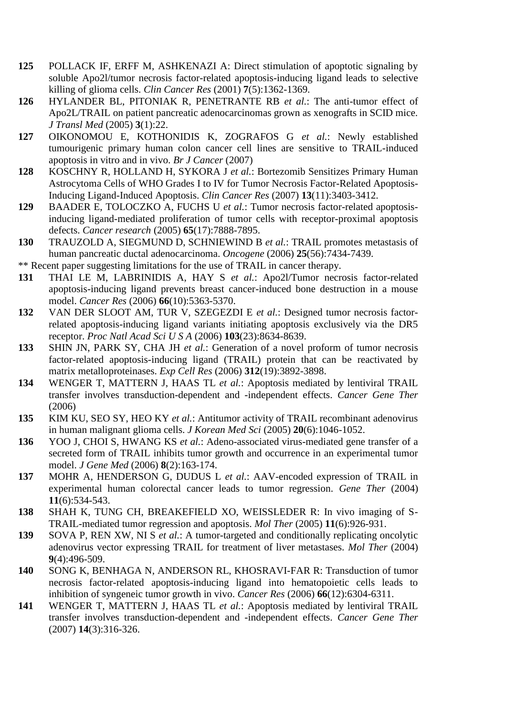- **125** POLLACK IF, ERFF M, ASHKENAZI A: Direct stimulation of apoptotic signaling by soluble Apo2l/tumor necrosis factor-related apoptosis-inducing ligand leads to selective killing of glioma cells. *Clin Cancer Res* (2001) **7**(5):1362-1369.
- **126** HYLANDER BL, PITONIAK R, PENETRANTE RB *et al.*: The anti-tumor effect of Apo2L/TRAIL on patient pancreatic adenocarcinomas grown as xenografts in SCID mice. *J Transl Med* (2005) **3**(1):22.
- **127** OIKONOMOU E, KOTHONIDIS K, ZOGRAFOS G *et al.*: Newly established tumourigenic primary human colon cancer cell lines are sensitive to TRAIL-induced apoptosis in vitro and in vivo. *Br J Cancer* (2007)
- **128** KOSCHNY R, HOLLAND H, SYKORA J *et al.*: Bortezomib Sensitizes Primary Human Astrocytoma Cells of WHO Grades I to IV for Tumor Necrosis Factor-Related Apoptosis-Inducing Ligand-Induced Apoptosis. *Clin Cancer Res* (2007) **13**(11):3403-3412.
- **129** BAADER E, TOLOCZKO A, FUCHS U *et al.*: Tumor necrosis factor-related apoptosisinducing ligand-mediated proliferation of tumor cells with receptor-proximal apoptosis defects. *Cancer research* (2005) **65**(17):7888-7895.
- **130** TRAUZOLD A, SIEGMUND D, SCHNIEWIND B *et al.*: TRAIL promotes metastasis of human pancreatic ductal adenocarcinoma. *Oncogene* (2006) **25**(56):7434-7439.
- \*\* Recent paper suggesting limitations for the use of TRAIL in cancer therapy.
- **131** THAI LE M, LABRINIDIS A, HAY S *et al.*: Apo2l/Tumor necrosis factor-related apoptosis-inducing ligand prevents breast cancer-induced bone destruction in a mouse model. *Cancer Res* (2006) **66**(10):5363-5370.
- **132** VAN DER SLOOT AM, TUR V, SZEGEZDI E *et al.*: Designed tumor necrosis factorrelated apoptosis-inducing ligand variants initiating apoptosis exclusively via the DR5 receptor. *Proc Natl Acad Sci U S A* (2006) **103**(23):8634-8639.
- **133** SHIN JN, PARK SY, CHA JH *et al.*: Generation of a novel proform of tumor necrosis factor-related apoptosis-inducing ligand (TRAIL) protein that can be reactivated by matrix metalloproteinases. *Exp Cell Res* (2006) **312**(19):3892-3898.
- **134** WENGER T, MATTERN J, HAAS TL *et al.*: Apoptosis mediated by lentiviral TRAIL transfer involves transduction-dependent and -independent effects. *Cancer Gene Ther*  (2006)
- **135** KIM KU, SEO SY, HEO KY *et al.*: Antitumor activity of TRAIL recombinant adenovirus in human malignant glioma cells. *J Korean Med Sci* (2005) **20**(6):1046-1052.
- **136** YOO J, CHOI S, HWANG KS *et al.*: Adeno-associated virus-mediated gene transfer of a secreted form of TRAIL inhibits tumor growth and occurrence in an experimental tumor model. *J Gene Med* (2006) **8**(2):163-174.
- **137** MOHR A, HENDERSON G, DUDUS L *et al.*: AAV-encoded expression of TRAIL in experimental human colorectal cancer leads to tumor regression. *Gene Ther* (2004) **11**(6):534-543.
- **138** SHAH K, TUNG CH, BREAKEFIELD XO, WEISSLEDER R: In vivo imaging of S-TRAIL-mediated tumor regression and apoptosis. *Mol Ther* (2005) **11**(6):926-931.
- **139** SOVA P, REN XW, NI S *et al.*: A tumor-targeted and conditionally replicating oncolytic adenovirus vector expressing TRAIL for treatment of liver metastases. *Mol Ther* (2004) **9**(4):496-509.
- **140** SONG K, BENHAGA N, ANDERSON RL, KHOSRAVI-FAR R: Transduction of tumor necrosis factor-related apoptosis-inducing ligand into hematopoietic cells leads to inhibition of syngeneic tumor growth in vivo. *Cancer Res* (2006) **66**(12):6304-6311.
- **141** WENGER T, MATTERN J, HAAS TL *et al.*: Apoptosis mediated by lentiviral TRAIL transfer involves transduction-dependent and -independent effects. *Cancer Gene Ther*  (2007) **14**(3):316-326.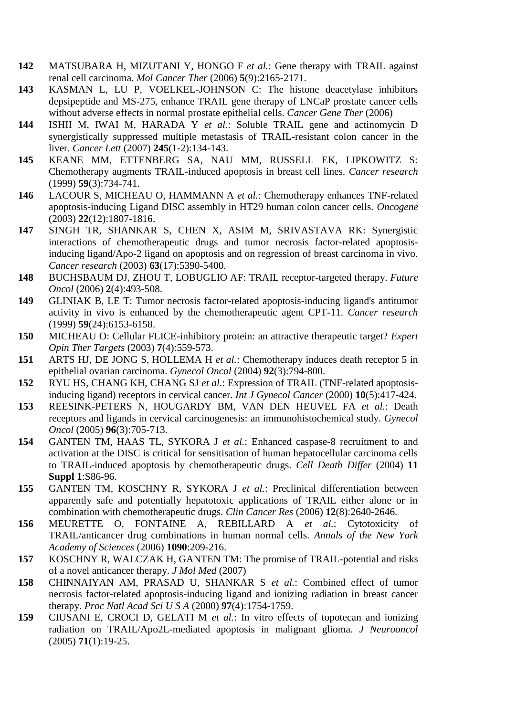- **142** MATSUBARA H, MIZUTANI Y, HONGO F *et al.*: Gene therapy with TRAIL against renal cell carcinoma. *Mol Cancer Ther* (2006) **5**(9):2165-2171.
- **143** KASMAN L, LU P, VOELKEL-JOHNSON C: The histone deacetylase inhibitors depsipeptide and MS-275, enhance TRAIL gene therapy of LNCaP prostate cancer cells without adverse effects in normal prostate epithelial cells. *Cancer Gene Ther* (2006)
- **144** ISHII M, IWAI M, HARADA Y *et al.*: Soluble TRAIL gene and actinomycin D synergistically suppressed multiple metastasis of TRAIL-resistant colon cancer in the liver. *Cancer Lett* (2007) **245**(1-2):134-143.
- **145** KEANE MM, ETTENBERG SA, NAU MM, RUSSELL EK, LIPKOWITZ S: Chemotherapy augments TRAIL-induced apoptosis in breast cell lines. *Cancer research*  (1999) **59**(3):734-741.
- **146** LACOUR S, MICHEAU O, HAMMANN A *et al.*: Chemotherapy enhances TNF-related apoptosis-inducing Ligand DISC assembly in HT29 human colon cancer cells. *Oncogene*  (2003) **22**(12):1807-1816.
- **147** SINGH TR, SHANKAR S, CHEN X, ASIM M, SRIVASTAVA RK: Synergistic interactions of chemotherapeutic drugs and tumor necrosis factor-related apoptosisinducing ligand/Apo-2 ligand on apoptosis and on regression of breast carcinoma in vivo. *Cancer research* (2003) **63**(17):5390-5400.
- **148** BUCHSBAUM DJ, ZHOU T, LOBUGLIO AF: TRAIL receptor-targeted therapy. *Future Oncol* (2006) **2**(4):493-508.
- **149** GLINIAK B, LE T: Tumor necrosis factor-related apoptosis-inducing ligand's antitumor activity in vivo is enhanced by the chemotherapeutic agent CPT-11. *Cancer research*  (1999) **59**(24):6153-6158.
- **150** MICHEAU O: Cellular FLICE-inhibitory protein: an attractive therapeutic target? *Expert Opin Ther Targets* (2003) **7**(4):559-573.
- **151** ARTS HJ, DE JONG S, HOLLEMA H *et al.*: Chemotherapy induces death receptor 5 in epithelial ovarian carcinoma. *Gynecol Oncol* (2004) **92**(3):794-800.
- **152** RYU HS, CHANG KH, CHANG SJ *et al.*: Expression of TRAIL (TNF-related apoptosisinducing ligand) receptors in cervical cancer. *Int J Gynecol Cancer* (2000) **10**(5):417-424.
- **153** REESINK-PETERS N, HOUGARDY BM, VAN DEN HEUVEL FA *et al.*: Death receptors and ligands in cervical carcinogenesis: an immunohistochemical study. *Gynecol Oncol* (2005) **96**(3):705-713.
- **154** GANTEN TM, HAAS TL, SYKORA J *et al.*: Enhanced caspase-8 recruitment to and activation at the DISC is critical for sensitisation of human hepatocellular carcinoma cells to TRAIL-induced apoptosis by chemotherapeutic drugs. *Cell Death Differ* (2004) **11 Suppl 1**:S86-96.
- **155** GANTEN TM, KOSCHNY R, SYKORA J *et al.*: Preclinical differentiation between apparently safe and potentially hepatotoxic applications of TRAIL either alone or in combination with chemotherapeutic drugs. *Clin Cancer Res* (2006) **12**(8):2640-2646.
- **156** MEURETTE O, FONTAINE A, REBILLARD A *et al.*: Cytotoxicity of TRAIL/anticancer drug combinations in human normal cells. *Annals of the New York Academy of Sciences* (2006) **1090**:209-216.
- **157** KOSCHNY R, WALCZAK H, GANTEN TM: The promise of TRAIL-potential and risks of a novel anticancer therapy. *J Mol Med* (2007)
- **158** CHINNAIYAN AM, PRASAD U, SHANKAR S *et al.*: Combined effect of tumor necrosis factor-related apoptosis-inducing ligand and ionizing radiation in breast cancer therapy. *Proc Natl Acad Sci U S A* (2000) **97**(4):1754-1759.
- **159** CIUSANI E, CROCI D, GELATI M *et al.*: In vitro effects of topotecan and ionizing radiation on TRAIL/Apo2L-mediated apoptosis in malignant glioma. *J Neurooncol*  (2005) **71**(1):19-25.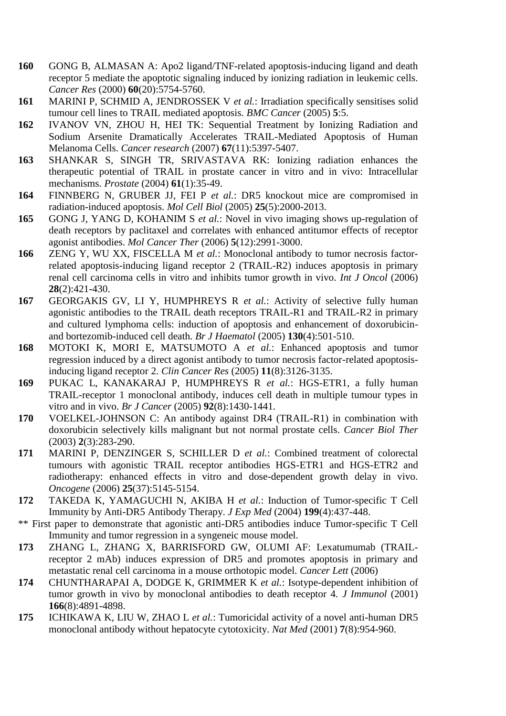- **160** GONG B, ALMASAN A: Apo2 ligand/TNF-related apoptosis-inducing ligand and death receptor 5 mediate the apoptotic signaling induced by ionizing radiation in leukemic cells. *Cancer Res* (2000) **60**(20):5754-5760.
- **161** MARINI P, SCHMID A, JENDROSSEK V *et al.*: Irradiation specifically sensitises solid tumour cell lines to TRAIL mediated apoptosis. *BMC Cancer* (2005) **5**:5.
- **162** IVANOV VN, ZHOU H, HEI TK: Sequential Treatment by Ionizing Radiation and Sodium Arsenite Dramatically Accelerates TRAIL-Mediated Apoptosis of Human Melanoma Cells. *Cancer research* (2007) **67**(11):5397-5407.
- **163** SHANKAR S, SINGH TR, SRIVASTAVA RK: Ionizing radiation enhances the therapeutic potential of TRAIL in prostate cancer in vitro and in vivo: Intracellular mechanisms. *Prostate* (2004) **61**(1):35-49.
- **164** FINNBERG N, GRUBER JJ, FEI P *et al.*: DR5 knockout mice are compromised in radiation-induced apoptosis. *Mol Cell Biol* (2005) **25**(5):2000-2013.
- **165** GONG J, YANG D, KOHANIM S *et al.*: Novel in vivo imaging shows up-regulation of death receptors by paclitaxel and correlates with enhanced antitumor effects of receptor agonist antibodies. *Mol Cancer Ther* (2006) **5**(12):2991-3000.
- **166** ZENG Y, WU XX, FISCELLA M *et al.*: Monoclonal antibody to tumor necrosis factorrelated apoptosis-inducing ligand receptor 2 (TRAIL-R2) induces apoptosis in primary renal cell carcinoma cells in vitro and inhibits tumor growth in vivo. *Int J Oncol* (2006) **28**(2):421-430.
- **167** GEORGAKIS GV, LI Y, HUMPHREYS R *et al.*: Activity of selective fully human agonistic antibodies to the TRAIL death receptors TRAIL-R1 and TRAIL-R2 in primary and cultured lymphoma cells: induction of apoptosis and enhancement of doxorubicinand bortezomib-induced cell death. *Br J Haematol* (2005) **130**(4):501-510.
- **168** MOTOKI K, MORI E, MATSUMOTO A *et al.*: Enhanced apoptosis and tumor regression induced by a direct agonist antibody to tumor necrosis factor-related apoptosisinducing ligand receptor 2. *Clin Cancer Res* (2005) **11**(8):3126-3135.
- **169** PUKAC L, KANAKARAJ P, HUMPHREYS R *et al.*: HGS-ETR1, a fully human TRAIL-receptor 1 monoclonal antibody, induces cell death in multiple tumour types in vitro and in vivo. *Br J Cancer* (2005) **92**(8):1430-1441.
- **170** VOELKEL-JOHNSON C: An antibody against DR4 (TRAIL-R1) in combination with doxorubicin selectively kills malignant but not normal prostate cells. *Cancer Biol Ther*  (2003) **2**(3):283-290.
- **171** MARINI P, DENZINGER S, SCHILLER D *et al.*: Combined treatment of colorectal tumours with agonistic TRAIL receptor antibodies HGS-ETR1 and HGS-ETR2 and radiotherapy: enhanced effects in vitro and dose-dependent growth delay in vivo. *Oncogene* (2006) **25**(37):5145-5154.
- **172** TAKEDA K, YAMAGUCHI N, AKIBA H *et al.*: Induction of Tumor-specific T Cell Immunity by Anti-DR5 Antibody Therapy. *J Exp Med* (2004) **199**(4):437-448.
- \*\* First paper to demonstrate that agonistic anti-DR5 antibodies induce Tumor-specific T Cell Immunity and tumor regression in a syngeneic mouse model.
- **173** ZHANG L, ZHANG X, BARRISFORD GW, OLUMI AF: Lexatumumab (TRAILreceptor 2 mAb) induces expression of DR5 and promotes apoptosis in primary and metastatic renal cell carcinoma in a mouse orthotopic model. *Cancer Lett* (2006)
- **174** CHUNTHARAPAI A, DODGE K, GRIMMER K *et al.*: Isotype-dependent inhibition of tumor growth in vivo by monoclonal antibodies to death receptor 4. *J Immunol* (2001) **166**(8):4891-4898.
- **175** ICHIKAWA K, LIU W, ZHAO L *et al.*: Tumoricidal activity of a novel anti-human DR5 monoclonal antibody without hepatocyte cytotoxicity. *Nat Med* (2001) **7**(8):954-960.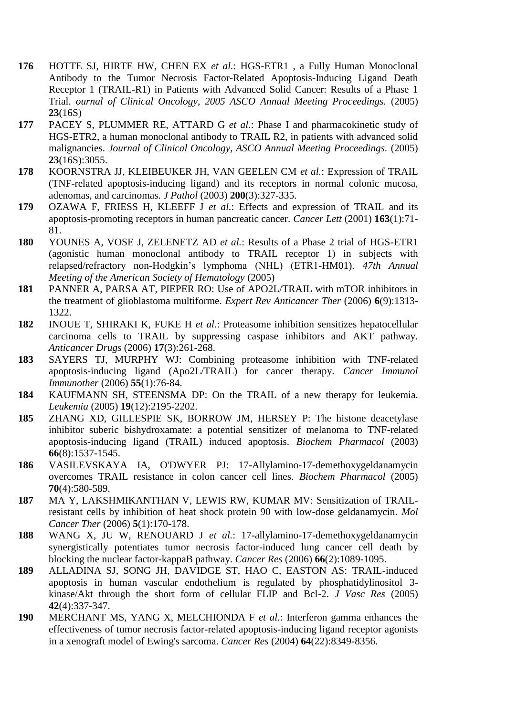- **176** HOTTE SJ, HIRTE HW, CHEN EX *et al.*: HGS-ETR1 , a Fully Human Monoclonal Antibody to the Tumor Necrosis Factor-Related Apoptosis-Inducing Ligand Death Receptor 1 (TRAIL-R1) in Patients with Advanced Solid Cancer: Results of a Phase 1 Trial. *ournal of Clinical Oncology, 2005 ASCO Annual Meeting Proceedings.* (2005) **23**(16S)
- **177** PACEY S, PLUMMER RE, ATTARD G *et al.*: Phase I and pharmacokinetic study of HGS-ETR2, a human monoclonal antibody to TRAIL R2, in patients with advanced solid malignancies. *Journal of Clinical Oncology, ASCO Annual Meeting Proceedings.* (2005) **23**(16S):3055.
- **178** KOORNSTRA JJ, KLEIBEUKER JH, VAN GEELEN CM *et al.*: Expression of TRAIL (TNF-related apoptosis-inducing ligand) and its receptors in normal colonic mucosa, adenomas, and carcinomas. *J Pathol* (2003) **200**(3):327-335.
- **179** OZAWA F, FRIESS H, KLEEFF J *et al.*: Effects and expression of TRAIL and its apoptosis-promoting receptors in human pancreatic cancer. *Cancer Lett* (2001) **163**(1):71- 81.
- **180** YOUNES A, VOSE J, ZELENETZ AD *et al.*: Results of a Phase 2 trial of HGS-ETR1 (agonistic human monoclonal antibody to TRAIL receptor 1) in subjects with relapsed/refractory non-Hodgkin's lymphoma (NHL) (ETR1-HM01). *47th Annual Meeting of the American Society of Hematology* (2005)
- **181** PANNER A, PARSA AT, PIEPER RO: Use of APO2L/TRAIL with mTOR inhibitors in the treatment of glioblastoma multiforme. *Expert Rev Anticancer Ther* (2006) **6**(9):1313- 1322.
- **182** INOUE T, SHIRAKI K, FUKE H *et al.*: Proteasome inhibition sensitizes hepatocellular carcinoma cells to TRAIL by suppressing caspase inhibitors and AKT pathway. *Anticancer Drugs* (2006) **17**(3):261-268.
- **183** SAYERS TJ, MURPHY WJ: Combining proteasome inhibition with TNF-related apoptosis-inducing ligand (Apo2L/TRAIL) for cancer therapy. *Cancer Immunol Immunother* (2006) **55**(1):76-84.
- **184** KAUFMANN SH, STEENSMA DP: On the TRAIL of a new therapy for leukemia. *Leukemia* (2005) **19**(12):2195-2202.
- **185** ZHANG XD, GILLESPIE SK, BORROW JM, HERSEY P: The histone deacetylase inhibitor suberic bishydroxamate: a potential sensitizer of melanoma to TNF-related apoptosis-inducing ligand (TRAIL) induced apoptosis. *Biochem Pharmacol* (2003) **66**(8):1537-1545.
- **186** VASILEVSKAYA IA, O'DWYER PJ: 17-Allylamino-17-demethoxygeldanamycin overcomes TRAIL resistance in colon cancer cell lines. *Biochem Pharmacol* (2005) **70**(4):580-589.
- **187** MA Y, LAKSHMIKANTHAN V, LEWIS RW, KUMAR MV: Sensitization of TRAILresistant cells by inhibition of heat shock protein 90 with low-dose geldanamycin. *Mol Cancer Ther* (2006) **5**(1):170-178.
- **188** WANG X, JU W, RENOUARD J *et al.*: 17-allylamino-17-demethoxygeldanamycin synergistically potentiates tumor necrosis factor-induced lung cancer cell death by blocking the nuclear factor-kappaB pathway. *Cancer Res* (2006) **66**(2):1089-1095.
- **189** ALLADINA SJ, SONG JH, DAVIDGE ST, HAO C, EASTON AS: TRAIL-induced apoptosis in human vascular endothelium is regulated by phosphatidylinositol 3 kinase/Akt through the short form of cellular FLIP and Bcl-2. *J Vasc Res* (2005) **42**(4):337-347.
- **190** MERCHANT MS, YANG X, MELCHIONDA F *et al.*: Interferon gamma enhances the effectiveness of tumor necrosis factor-related apoptosis-inducing ligand receptor agonists in a xenograft model of Ewing's sarcoma. *Cancer Res* (2004) **64**(22):8349-8356.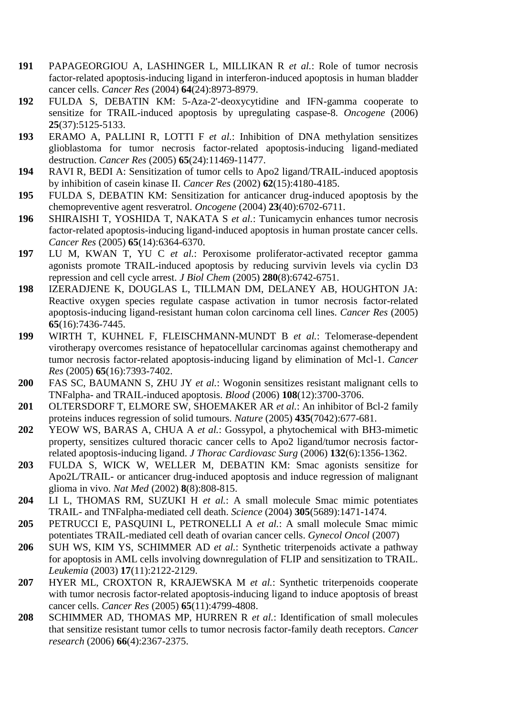- **191** PAPAGEORGIOU A, LASHINGER L, MILLIKAN R *et al.*: Role of tumor necrosis factor-related apoptosis-inducing ligand in interferon-induced apoptosis in human bladder cancer cells. *Cancer Res* (2004) **64**(24):8973-8979.
- **192** FULDA S, DEBATIN KM: 5-Aza-2'-deoxycytidine and IFN-gamma cooperate to sensitize for TRAIL-induced apoptosis by upregulating caspase-8. *Oncogene* (2006) **25**(37):5125-5133.
- **193** ERAMO A, PALLINI R, LOTTI F *et al.*: Inhibition of DNA methylation sensitizes glioblastoma for tumor necrosis factor-related apoptosis-inducing ligand-mediated destruction. *Cancer Res* (2005) **65**(24):11469-11477.
- **194** RAVI R, BEDI A: Sensitization of tumor cells to Apo2 ligand/TRAIL-induced apoptosis by inhibition of casein kinase II. *Cancer Res* (2002) **62**(15):4180-4185.
- **195** FULDA S, DEBATIN KM: Sensitization for anticancer drug-induced apoptosis by the chemopreventive agent resveratrol. *Oncogene* (2004) **23**(40):6702-6711.
- **196** SHIRAISHI T, YOSHIDA T, NAKATA S *et al.*: Tunicamycin enhances tumor necrosis factor-related apoptosis-inducing ligand-induced apoptosis in human prostate cancer cells. *Cancer Res* (2005) **65**(14):6364-6370.
- **197** LU M, KWAN T, YU C *et al.*: Peroxisome proliferator-activated receptor gamma agonists promote TRAIL-induced apoptosis by reducing survivin levels via cyclin D3 repression and cell cycle arrest. *J Biol Chem* (2005) **280**(8):6742-6751.
- **198** IZERADJENE K, DOUGLAS L, TILLMAN DM, DELANEY AB, HOUGHTON JA: Reactive oxygen species regulate caspase activation in tumor necrosis factor-related apoptosis-inducing ligand-resistant human colon carcinoma cell lines. *Cancer Res* (2005) **65**(16):7436-7445.
- **199** WIRTH T, KUHNEL F, FLEISCHMANN-MUNDT B *et al.*: Telomerase-dependent virotherapy overcomes resistance of hepatocellular carcinomas against chemotherapy and tumor necrosis factor-related apoptosis-inducing ligand by elimination of Mcl-1. *Cancer Res* (2005) **65**(16):7393-7402.
- **200** FAS SC, BAUMANN S, ZHU JY *et al.*: Wogonin sensitizes resistant malignant cells to TNFalpha- and TRAIL-induced apoptosis. *Blood* (2006) **108**(12):3700-3706.
- **201** OLTERSDORF T, ELMORE SW, SHOEMAKER AR *et al.*: An inhibitor of Bcl-2 family proteins induces regression of solid tumours. *Nature* (2005) **435**(7042):677-681.
- **202** YEOW WS, BARAS A, CHUA A *et al.*: Gossypol, a phytochemical with BH3-mimetic property, sensitizes cultured thoracic cancer cells to Apo2 ligand/tumor necrosis factorrelated apoptosis-inducing ligand. *J Thorac Cardiovasc Surg* (2006) **132**(6):1356-1362.
- **203** FULDA S, WICK W, WELLER M, DEBATIN KM: Smac agonists sensitize for Apo2L/TRAIL- or anticancer drug-induced apoptosis and induce regression of malignant glioma in vivo. *Nat Med* (2002) **8**(8):808-815.
- **204** LI L, THOMAS RM, SUZUKI H *et al.*: A small molecule Smac mimic potentiates TRAIL- and TNFalpha-mediated cell death. *Science* (2004) **305**(5689):1471-1474.
- **205** PETRUCCI E, PASQUINI L, PETRONELLI A *et al.*: A small molecule Smac mimic potentiates TRAIL-mediated cell death of ovarian cancer cells. *Gynecol Oncol* (2007)
- **206** SUH WS, KIM YS, SCHIMMER AD *et al.*: Synthetic triterpenoids activate a pathway for apoptosis in AML cells involving downregulation of FLIP and sensitization to TRAIL. *Leukemia* (2003) **17**(11):2122-2129.
- **207** HYER ML, CROXTON R, KRAJEWSKA M *et al.*: Synthetic triterpenoids cooperate with tumor necrosis factor-related apoptosis-inducing ligand to induce apoptosis of breast cancer cells. *Cancer Res* (2005) **65**(11):4799-4808.
- **208** SCHIMMER AD, THOMAS MP, HURREN R *et al.*: Identification of small molecules that sensitize resistant tumor cells to tumor necrosis factor-family death receptors. *Cancer research* (2006) **66**(4):2367-2375.